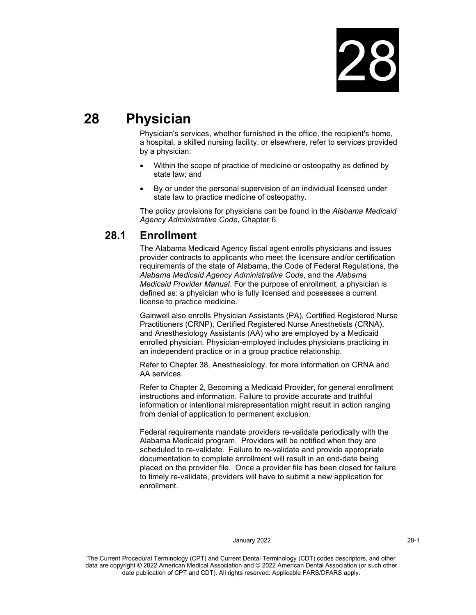

# **28 Physician**

Physician's services, whether furnished in the office, the recipient's home, a hospital, a skilled nursing facility, or elsewhere, refer to services provided by a physician:

- Within the scope of practice of medicine or osteopathy as defined by state law; and
- By or under the personal supervision of an individual licensed under state law to practice medicine of osteopathy.

The policy provisions for physicians can be found in the *Alabama Medicaid Agency Administrative Code,* Chapter 6.

# **28.1 Enrollment**

The Alabama Medicaid Agency fiscal agent enrolls physicians and issues provider contracts to applicants who meet the licensure and/or certification requirements of the state of Alabama, the Code of Federal Regulations, the *Alabama Medicaid Agency Administrative Code*, and the *Alabama Medicaid Provider Manual*. For the purpose of enrollment, a physician is defined as: a physician who is fully licensed and possesses a current license to practice medicine.

Gainwell also enrolls Physician Assistants (PA), Certified Registered Nurse Practitioners (CRNP), Certified Registered Nurse Anesthetists (CRNA), and Anesthesiology Assistants (AA) who are employed by a Medicaid enrolled physician. Physician-employed includes physicians practicing in an independent practice or in a group practice relationship.

Refer to Chapter 38, Anesthesiology, for more information on CRNA and AA services.

Refer to Chapter 2, Becoming a Medicaid Provider, for general enrollment instructions and information. Failure to provide accurate and truthful information or intentional misrepresentation might result in action ranging from denial of application to permanent exclusion.

Federal requirements mandate providers re-validate periodically with the Alabama Medicaid program. Providers will be notified when they are scheduled to re-validate. Failure to re-validate and provide appropriate documentation to complete enrollment will result in an end-date being placed on the provider file. Once a provider file has been closed for failure to timely re-validate, providers will have to submit a new application for enrollment.

# January 2022 28-1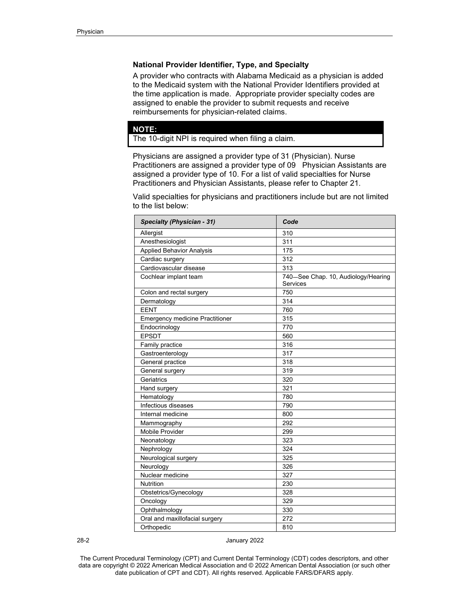# **National Provider Identifier, Type, and Specialty**

A provider who contracts with Alabama Medicaid as a physician is added to the Medicaid system with the National Provider Identifiers provided at the time application is made. Appropriate provider specialty codes are assigned to enable the provider to submit requests and receive reimbursements for physician-related claims.

# **NOTE:**

The 10-digit NPI is required when filing a claim.

Physicians are assigned a provider type of 31 (Physician). Nurse Practitioners are assigned a provider type of 09 Physician Assistants are assigned a provider type of 10. For a list of valid specialties for Nurse Practitioners and Physician Assistants, please refer to Chapter 21.

Valid specialties for physicians and practitioners include but are not limited to the list below:

| <b>Specialty (Physician - 31)</b>      | Code                                            |
|----------------------------------------|-------------------------------------------------|
| Allergist                              | 310                                             |
| Anesthesiologist                       | 311                                             |
| <b>Applied Behavior Analysis</b>       | 175                                             |
| Cardiac surgery                        | 312                                             |
| Cardiovascular disease                 | 313                                             |
| Cochlear implant team                  | 740-See Chap. 10, Audiology/Hearing<br>Services |
| Colon and rectal surgery               | 750                                             |
| Dermatology                            | 314                                             |
| <b>EENT</b>                            | 760                                             |
| <b>Emergency medicine Practitioner</b> | 315                                             |
| Endocrinology                          | 770                                             |
| <b>EPSDT</b>                           | 560                                             |
| Family practice                        | 316                                             |
| Gastroenterology                       | 317                                             |
| General practice                       | 318                                             |
| General surgery                        | 319                                             |
| Geriatrics                             | 320                                             |
| Hand surgery                           | 321                                             |
| Hematology                             | 780                                             |
| Infectious diseases                    | 790                                             |
| Internal medicine                      | 800                                             |
| Mammography                            | 292                                             |
| <b>Mobile Provider</b>                 | 299                                             |
| Neonatology                            | 323                                             |
| Nephrology                             | 324                                             |
| Neurological surgery                   | 325                                             |
| Neurology                              | 326                                             |
| Nuclear medicine                       | 327                                             |
| <b>Nutrition</b>                       | 230                                             |
| Obstetrics/Gynecology                  | 328                                             |
| Oncology                               | 329                                             |
| Ophthalmology                          | 330                                             |
| Oral and maxillofacial surgery         | 272                                             |
| Orthopedic                             | 810                                             |

28-2 January 2022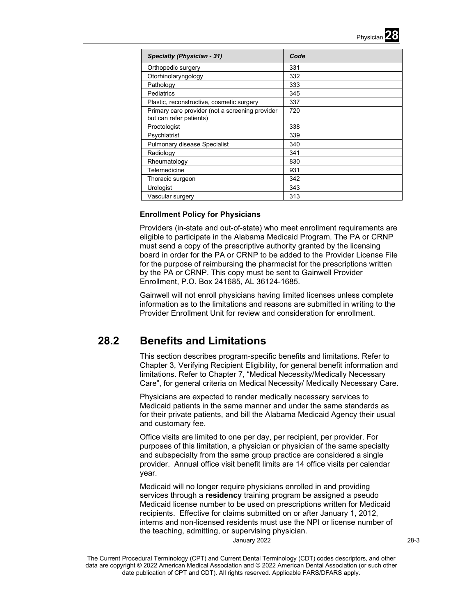

| <b>Specialty (Physician - 31)</b>                                          | Code |
|----------------------------------------------------------------------------|------|
| Orthopedic surgery                                                         | 331  |
| Otorhinolaryngology                                                        | 332  |
| Pathology                                                                  | 333  |
| Pediatrics                                                                 | 345  |
| Plastic, reconstructive, cosmetic surgery                                  | 337  |
| Primary care provider (not a screening provider<br>but can refer patients) | 720  |
| Proctologist                                                               | 338  |
| Psychiatrist                                                               | 339  |
| Pulmonary disease Specialist                                               | 340  |
| Radiology                                                                  | 341  |
| Rheumatology                                                               | 830  |
| Telemedicine                                                               | 931  |
| Thoracic surgeon                                                           | 342  |
| Urologist                                                                  | 343  |
| Vascular surgery                                                           | 313  |

# **Enrollment Policy for Physicians**

Providers (in-state and out-of-state) who meet enrollment requirements are eligible to participate in the Alabama Medicaid Program. The PA or CRNP must send a copy of the prescriptive authority granted by the licensing board in order for the PA or CRNP to be added to the Provider License File for the purpose of reimbursing the pharmacist for the prescriptions written by the PA or CRNP. This copy must be sent to Gainwell Provider Enrollment, P.O. Box 241685, AL 36124-1685.

Gainwell will not enroll physicians having limited licenses unless complete information as to the limitations and reasons are submitted in writing to the Provider Enrollment Unit for review and consideration for enrollment.

# **28.2 Benefits and Limitations**

This section describes program-specific benefits and limitations. Refer to Chapter 3, Verifying Recipient Eligibility, for general benefit information and limitations. Refer to Chapter 7, "Medical Necessity/Medically Necessary Care", for general criteria on Medical Necessity/ Medically Necessary Care.

Physicians are expected to render medically necessary services to Medicaid patients in the same manner and under the same standards as for their private patients, and bill the Alabama Medicaid Agency their usual and customary fee.

Office visits are limited to one per day, per recipient, per provider. For purposes of this limitation, a physician or physician of the same specialty and subspecialty from the same group practice are considered a single provider. Annual office visit benefit limits are 14 office visits per calendar year.

Medicaid will no longer require physicians enrolled in and providing services through a **residency** training program be assigned a pseudo Medicaid license number to be used on prescriptions written for Medicaid recipients. Effective for claims submitted on or after January 1, 2012, interns and non-licensed residents must use the NPI or license number of the teaching, admitting, or supervising physician.

January 2022 28-3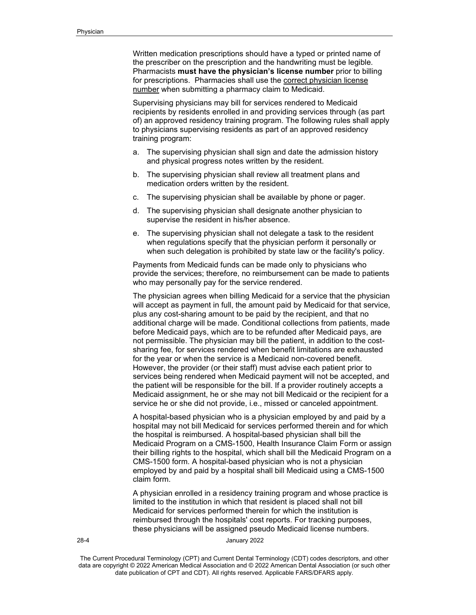Written medication prescriptions should have a typed or printed name of the prescriber on the prescription and the handwriting must be legible. Pharmacists **must have the physician's license number** prior to billing for prescriptions. Pharmacies shall use the correct physician license number when submitting a pharmacy claim to Medicaid.

Supervising physicians may bill for services rendered to Medicaid recipients by residents enrolled in and providing services through (as part of) an approved residency training program. The following rules shall apply to physicians supervising residents as part of an approved residency training program:

- a. The supervising physician shall sign and date the admission history and physical progress notes written by the resident.
- b. The supervising physician shall review all treatment plans and medication orders written by the resident.
- c. The supervising physician shall be available by phone or pager.
- d. The supervising physician shall designate another physician to supervise the resident in his/her absence.
- e. The supervising physician shall not delegate a task to the resident when regulations specify that the physician perform it personally or when such delegation is prohibited by state law or the facility's policy.

Payments from Medicaid funds can be made only to physicians who provide the services; therefore, no reimbursement can be made to patients who may personally pay for the service rendered.

The physician agrees when billing Medicaid for a service that the physician will accept as payment in full, the amount paid by Medicaid for that service, plus any cost-sharing amount to be paid by the recipient, and that no additional charge will be made. Conditional collections from patients, made before Medicaid pays, which are to be refunded after Medicaid pays, are not permissible. The physician may bill the patient, in addition to the costsharing fee, for services rendered when benefit limitations are exhausted for the year or when the service is a Medicaid non-covered benefit. However, the provider (or their staff) must advise each patient prior to services being rendered when Medicaid payment will not be accepted, and the patient will be responsible for the bill. If a provider routinely accepts a Medicaid assignment, he or she may not bill Medicaid or the recipient for a service he or she did not provide, i.e., missed or canceled appointment.

A hospital-based physician who is a physician employed by and paid by a hospital may not bill Medicaid for services performed therein and for which the hospital is reimbursed. A hospital-based physician shall bill the Medicaid Program on a CMS-1500, Health Insurance Claim Form or assign their billing rights to the hospital, which shall bill the Medicaid Program on a CMS-1500 form. A hospital-based physician who is not a physician employed by and paid by a hospital shall bill Medicaid using a CMS-1500 claim form.

A physician enrolled in a residency training program and whose practice is limited to the institution in which that resident is placed shall not bill Medicaid for services performed therein for which the institution is reimbursed through the hospitals' cost reports. For tracking purposes, these physicians will be assigned pseudo Medicaid license numbers.

28-4 January 2022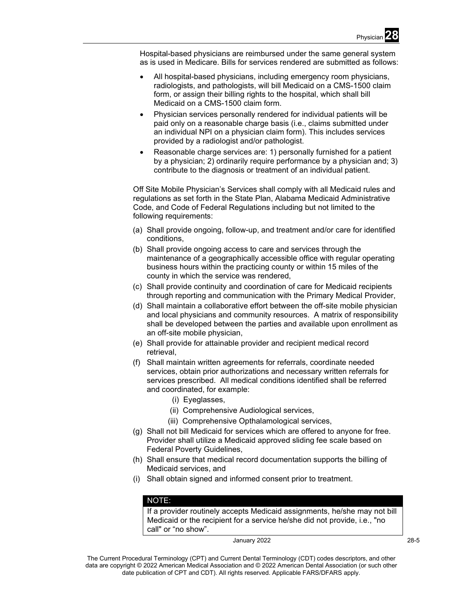Hospital-based physicians are reimbursed under the same general system as is used in Medicare. Bills for services rendered are submitted as follows:

- All hospital-based physicians, including emergency room physicians, radiologists, and pathologists, will bill Medicaid on a CMS-1500 claim form, or assign their billing rights to the hospital, which shall bill Medicaid on a CMS-1500 claim form.
- Physician services personally rendered for individual patients will be paid only on a reasonable charge basis (i.e., claims submitted under an individual NPI on a physician claim form). This includes services provided by a radiologist and/or pathologist.
- Reasonable charge services are: 1) personally furnished for a patient by a physician; 2) ordinarily require performance by a physician and; 3) contribute to the diagnosis or treatment of an individual patient.

Off Site Mobile Physician's Services shall comply with all Medicaid rules and regulations as set forth in the State Plan, Alabama Medicaid Administrative Code, and Code of Federal Regulations including but not limited to the following requirements:

- (a) Shall provide ongoing, follow-up, and treatment and/or care for identified conditions,
- (b) Shall provide ongoing access to care and services through the maintenance of a geographically accessible office with regular operating business hours within the practicing county or within 15 miles of the county in which the service was rendered,
- (c) Shall provide continuity and coordination of care for Medicaid recipients through reporting and communication with the Primary Medical Provider,
- (d) Shall maintain a collaborative effort between the off-site mobile physician and local physicians and community resources. A matrix of responsibility shall be developed between the parties and available upon enrollment as an off-site mobile physician,
- (e) Shall provide for attainable provider and recipient medical record retrieval,
- (f) Shall maintain written agreements for referrals, coordinate needed services, obtain prior authorizations and necessary written referrals for services prescribed. All medical conditions identified shall be referred and coordinated, for example:
	- (i) Eyeglasses,
	- (ii) Comprehensive Audiological services,
	- (iii) Comprehensive Opthalamological services,
- (g) Shall not bill Medicaid for services which are offered to anyone for free. Provider shall utilize a Medicaid approved sliding fee scale based on Federal Poverty Guidelines,
- (h) Shall ensure that medical record documentation supports the billing of Medicaid services, and
- (i) Shall obtain signed and informed consent prior to treatment.

# NOTE:

If a provider routinely accepts Medicaid assignments, he/she may not bill Medicaid or the recipient for a service he/she did not provide, i.e., "no call" or "no show".

January 2022 **28-5**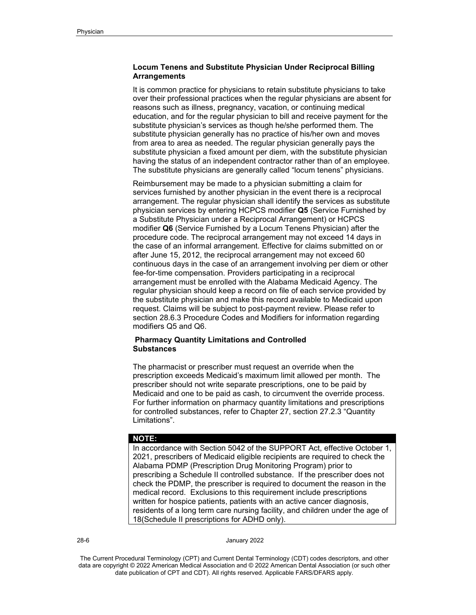# **Locum Tenens and Substitute Physician Under Reciprocal Billing Arrangements**

It is common practice for physicians to retain substitute physicians to take over their professional practices when the regular physicians are absent for reasons such as illness, pregnancy, vacation, or continuing medical education, and for the regular physician to bill and receive payment for the substitute physician's services as though he/she performed them. The substitute physician generally has no practice of his/her own and moves from area to area as needed. The regular physician generally pays the substitute physician a fixed amount per diem, with the substitute physician having the status of an independent contractor rather than of an employee. The substitute physicians are generally called "locum tenens" physicians.

Reimbursement may be made to a physician submitting a claim for services furnished by another physician in the event there is a reciprocal arrangement. The regular physician shall identify the services as substitute physician services by entering HCPCS modifier **Q5** (Service Furnished by a Substitute Physician under a Reciprocal Arrangement) or HCPCS modifier **Q6** (Service Furnished by a Locum Tenens Physician) after the procedure code. The reciprocal arrangement may not exceed 14 days in the case of an informal arrangement. Effective for claims submitted on or after June 15, 2012, the reciprocal arrangement may not exceed 60 continuous days in the case of an arrangement involving per diem or other fee-for-time compensation. Providers participating in a reciprocal arrangement must be enrolled with the Alabama Medicaid Agency. The regular physician should keep a record on file of each service provided by the substitute physician and make this record available to Medicaid upon request. Claims will be subject to post-payment review. Please refer to section 28.6.3 Procedure Codes and Modifiers for information regarding modifiers Q5 and Q6.

# **Pharmacy Quantity Limitations and Controlled Substances**

The pharmacist or prescriber must request an override when the prescription exceeds Medicaid's maximum limit allowed per month. The prescriber should not write separate prescriptions, one to be paid by Medicaid and one to be paid as cash, to circumvent the override process. For further information on pharmacy quantity limitations and prescriptions for controlled substances, refer to Chapter 27, section 27.2.3 "Quantity Limitations".

#### **NOTE:**

In accordance with Section 5042 of the SUPPORT Act, effective October 1, 2021, prescribers of Medicaid eligible recipients are required to check the Alabama PDMP (Prescription Drug Monitoring Program) prior to prescribing a Schedule II controlled substance. If the prescriber does not check the PDMP, the prescriber is required to document the reason in the medical record. Exclusions to this requirement include prescriptions written for hospice patients, patients with an active cancer diagnosis, residents of a long term care nursing facility, and children under the age of 18(Schedule II prescriptions for ADHD only).

28-6 January 2022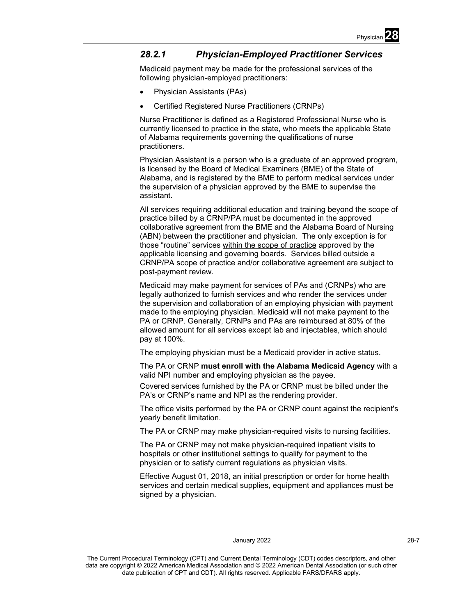

# *28.2.1 Physician-Employed Practitioner Services*

Medicaid payment may be made for the professional services of the following physician-employed practitioners:

- Physician Assistants (PAs)
- Certified Registered Nurse Practitioners (CRNPs)

Nurse Practitioner is defined as a Registered Professional Nurse who is currently licensed to practice in the state, who meets the applicable State of Alabama requirements governing the qualifications of nurse practitioners.

Physician Assistant is a person who is a graduate of an approved program, is licensed by the Board of Medical Examiners (BME) of the State of Alabama, and is registered by the BME to perform medical services under the supervision of a physician approved by the BME to supervise the assistant.

All services requiring additional education and training beyond the scope of practice billed by a CRNP/PA must be documented in the approved collaborative agreement from the BME and the Alabama Board of Nursing (ABN) between the practitioner and physician. The only exception is for those "routine" services within the scope of practice approved by the applicable licensing and governing boards. Services billed outside a CRNP/PA scope of practice and/or collaborative agreement are subject to post-payment review.

Medicaid may make payment for services of PAs and (CRNPs) who are legally authorized to furnish services and who render the services under the supervision and collaboration of an employing physician with payment made to the employing physician. Medicaid will not make payment to the PA or CRNP. Generally, CRNPs and PAs are reimbursed at 80% of the allowed amount for all services except lab and injectables, which should pay at 100%.

The employing physician must be a Medicaid provider in active status.

The PA or CRNP **must enroll with the Alabama Medicaid Agency** with a valid NPI number and employing physician as the payee.

Covered services furnished by the PA or CRNP must be billed under the PA's or CRNP's name and NPI as the rendering provider.

The office visits performed by the PA or CRNP count against the recipient's yearly benefit limitation.

The PA or CRNP may make physician-required visits to nursing facilities.

The PA or CRNP may not make physician-required inpatient visits to hospitals or other institutional settings to qualify for payment to the physician or to satisfy current regulations as physician visits.

Effective August 01, 2018, an initial prescription or order for home health services and certain medical supplies, equipment and appliances must be signed by a physician.

## January 2022 28-7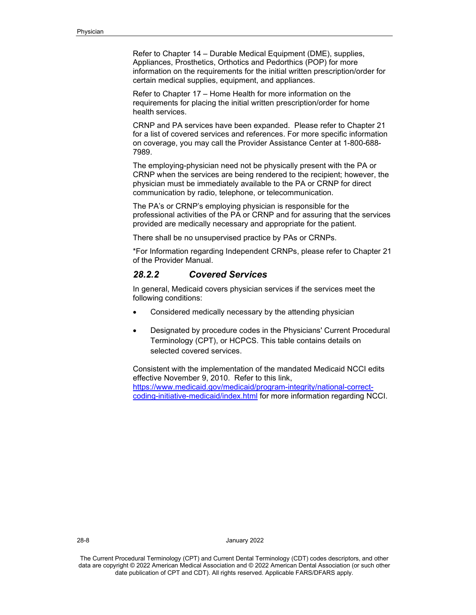Refer to Chapter 14 – Durable Medical Equipment (DME), supplies, Appliances, Prosthetics, Orthotics and Pedorthics (POP) for more information on the requirements for the initial written prescription/order for certain medical supplies, equipment, and appliances.

Refer to Chapter 17 – Home Health for more information on the requirements for placing the initial written prescription/order for home health services.

CRNP and PA services have been expanded. Please refer to Chapter 21 for a list of covered services and references. For more specific information on coverage, you may call the Provider Assistance Center at 1-800-688- 7989.

The employing-physician need not be physically present with the PA or CRNP when the services are being rendered to the recipient; however, the physician must be immediately available to the PA or CRNP for direct communication by radio, telephone, or telecommunication.

The PA's or CRNP's employing physician is responsible for the professional activities of the PA or CRNP and for assuring that the services provided are medically necessary and appropriate for the patient.

There shall be no unsupervised practice by PAs or CRNPs.

\*For Information regarding Independent CRNPs, please refer to Chapter 21 of the Provider Manual.

# *28.2.2 Covered Services*

In general, Medicaid covers physician services if the services meet the following conditions:

- Considered medically necessary by the attending physician
- Designated by procedure codes in the Physicians' Current Procedural Terminology (CPT), or HCPCS. This table contains details on selected covered services.

Consistent with the implementation of the mandated Medicaid NCCI edits effective November 9, 2010. Refer to this link, [https://www.medicaid.gov/medicaid/program-integrity/national-correct](https://www.medicaid.gov/medicaid/program-integrity/national-correct-coding-initiative-medicaid/index.html)[coding-initiative-medicaid/index.html](https://www.medicaid.gov/medicaid/program-integrity/national-correct-coding-initiative-medicaid/index.html) for more information regarding NCCI.

28-8 January 2022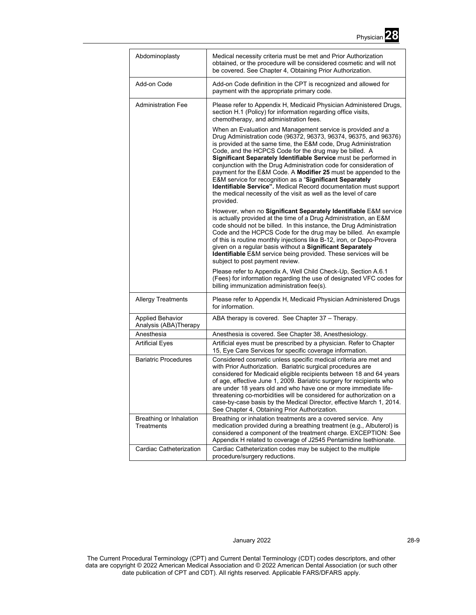

| Abdominoplasty                                    | Medical necessity criteria must be met and Prior Authorization<br>obtained, or the procedure will be considered cosmetic and will not<br>be covered. See Chapter 4, Obtaining Prior Authorization.                                                                                                                                                                                                                                                                                                                                                                                                                                                                                        |
|---------------------------------------------------|-------------------------------------------------------------------------------------------------------------------------------------------------------------------------------------------------------------------------------------------------------------------------------------------------------------------------------------------------------------------------------------------------------------------------------------------------------------------------------------------------------------------------------------------------------------------------------------------------------------------------------------------------------------------------------------------|
| Add-on Code                                       | Add-on Code definition in the CPT is recognized and allowed for<br>payment with the appropriate primary code.                                                                                                                                                                                                                                                                                                                                                                                                                                                                                                                                                                             |
| <b>Administration Fee</b>                         | Please refer to Appendix H, Medicaid Physician Administered Drugs,<br>section H.1 (Policy) for information regarding office visits,<br>chemotherapy, and administration fees.                                                                                                                                                                                                                                                                                                                                                                                                                                                                                                             |
|                                                   | When an Evaluation and Management service is provided and a<br>Drug Administration code (96372, 96373, 96374, 96375, and 96376)<br>is provided at the same time, the E&M code, Drug Administration<br>Code, and the HCPCS Code for the drug may be billed. A<br>Significant Separately Identifiable Service must be performed in<br>conjunction with the Drug Administration code for consideration of<br>payment for the E&M Code. A Modifier 25 must be appended to the<br>E&M service for recognition as a "Significant Separately<br>Identifiable Service". Medical Record documentation must support<br>the medical necessity of the visit as well as the level of care<br>provided. |
|                                                   | However, when no Significant Separately Identifiable E&M service<br>is actually provided at the time of a Drug Administration, an E&M<br>code should not be billed. In this instance, the Drug Administration<br>Code and the HCPCS Code for the drug may be billed. An example<br>of this is routine monthly injections like B-12, iron, or Depo-Provera<br>given on a regular basis without a Significant Separately<br><b>Identifiable</b> E&M service being provided. These services will be<br>subject to post payment review.                                                                                                                                                       |
|                                                   | Please refer to Appendix A, Well Child Check-Up, Section A.6.1<br>(Fees) for information regarding the use of designated VFC codes for<br>billing immunization administration fee(s).                                                                                                                                                                                                                                                                                                                                                                                                                                                                                                     |
| <b>Allergy Treatments</b>                         | Please refer to Appendix H, Medicaid Physician Administered Drugs<br>for information.                                                                                                                                                                                                                                                                                                                                                                                                                                                                                                                                                                                                     |
| <b>Applied Behavior</b><br>Analysis (ABA) Therapy | ABA therapy is covered. See Chapter 37 - Therapy.                                                                                                                                                                                                                                                                                                                                                                                                                                                                                                                                                                                                                                         |
| Anesthesia                                        | Anesthesia is covered. See Chapter 38, Anesthesiology.                                                                                                                                                                                                                                                                                                                                                                                                                                                                                                                                                                                                                                    |
| <b>Artificial Eyes</b>                            | Artificial eyes must be prescribed by a physician. Refer to Chapter<br>15, Eye Care Services for specific coverage information.                                                                                                                                                                                                                                                                                                                                                                                                                                                                                                                                                           |
| <b>Bariatric Procedures</b>                       | Considered cosmetic unless specific medical criteria are met and<br>with Prior Authorization. Bariatric surgical procedures are<br>considered for Medicaid eligible recipients between 18 and 64 years<br>of age, effective June 1, 2009. Bariatric surgery for recipients who<br>are under 18 years old and who have one or more immediate life-<br>threatening co-morbidities will be considered for authorization on a<br>case-by-case basis by the Medical Director, effective March 1, 2014.<br>See Chapter 4, Obtaining Prior Authorization.                                                                                                                                        |
| Breathing or Inhalation<br>Treatments             | Breathing or inhalation treatments are a covered service. Any<br>medication provided during a breathing treatment (e.g., Albuterol) is<br>considered a component of the treatment charge. EXCEPTION: See<br>Appendix H related to coverage of J2545 Pentamidine Isethionate.                                                                                                                                                                                                                                                                                                                                                                                                              |
| Cardiac Catheterization                           | Cardiac Catheterization codes may be subject to the multiple<br>procedure/surgery reductions.                                                                                                                                                                                                                                                                                                                                                                                                                                                                                                                                                                                             |

# January 2022 28-9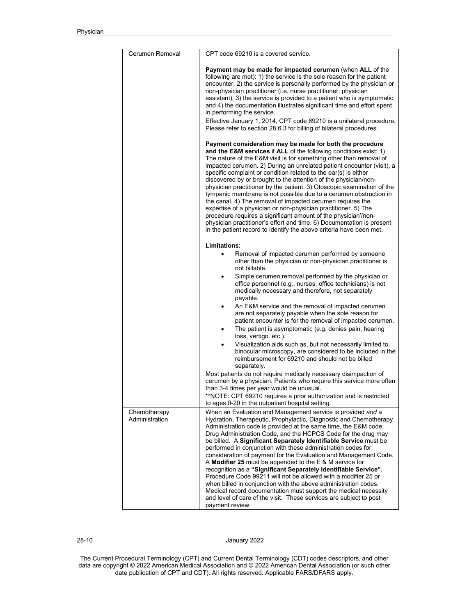| Cerumen Removal                | CPT code 69210 is a covered service.                                                                                                                                                                                                                                                                                                                                                                                                                                                                                                                                                                                                                                                                                                                                                                                                                                                                                |
|--------------------------------|---------------------------------------------------------------------------------------------------------------------------------------------------------------------------------------------------------------------------------------------------------------------------------------------------------------------------------------------------------------------------------------------------------------------------------------------------------------------------------------------------------------------------------------------------------------------------------------------------------------------------------------------------------------------------------------------------------------------------------------------------------------------------------------------------------------------------------------------------------------------------------------------------------------------|
|                                | Payment may be made for impacted cerumen (when ALL of the<br>following are met): 1) the service is the sole reason for the patient<br>encounter, 2) the service is personally performed by the physician or<br>non-physician practitioner (i.e. nurse practitioner, physician<br>assistant), 3) the service is provided to a patient who is symptomatic,<br>and 4) the documentation illustrates significant time and effort spent<br>in performing the service.                                                                                                                                                                                                                                                                                                                                                                                                                                                    |
|                                | Effective January 1, 2014, CPT code 69210 is a unilateral procedure.<br>Please refer to section 28.6.3 for billing of bilateral procedures.                                                                                                                                                                                                                                                                                                                                                                                                                                                                                                                                                                                                                                                                                                                                                                         |
|                                | Payment consideration may be made for both the procedure<br>and the E&M services if ALL of the following conditions exist: 1)<br>The nature of the E&M visit is for something other than removal of<br>impacted cerumen. 2) During an unrelated patient encounter (visit), a<br>specific complaint or condition related to the ear(s) is either<br>discovered by or brought to the attention of the physician/non-<br>physician practitioner by the patient. 3) Otoscopic examination of the<br>tympanic membrane is not possible due to a cerumen obstruction in<br>the canal. 4) The removal of impacted cerumen requires the<br>expertise of a physician or non-physician practitioner. 5) The<br>procedure requires a significant amount of the physician'/non-<br>physician practitioner's effort and time. 6) Documentation is present<br>in the patient record to identify the above criteria have been met. |
|                                | Limitations:                                                                                                                                                                                                                                                                                                                                                                                                                                                                                                                                                                                                                                                                                                                                                                                                                                                                                                        |
|                                | Removal of impacted cerumen performed by someone<br>$\bullet$<br>other than the physician or non-physician practitioner is<br>not billable.                                                                                                                                                                                                                                                                                                                                                                                                                                                                                                                                                                                                                                                                                                                                                                         |
|                                | Simple cerumen removal performed by the physician or<br>office personnel (e.g., nurses, office technicians) is not<br>medically necessary and therefore, not separately<br>payable.                                                                                                                                                                                                                                                                                                                                                                                                                                                                                                                                                                                                                                                                                                                                 |
|                                | An E&M service and the removal of impacted cerumen<br>٠<br>are not separately payable when the sole reason for<br>patient encounter is for the removal of impacted cerumen.<br>The patient is asymptomatic (e.g. denies pain, hearing<br>loss, vertigo. etc.).                                                                                                                                                                                                                                                                                                                                                                                                                                                                                                                                                                                                                                                      |
|                                | Visualization aids such as, but not necessarily limited to,<br>binocular microscopy, are considered to be included in the<br>reimbursement for 69210 and should not be billed<br>separately.                                                                                                                                                                                                                                                                                                                                                                                                                                                                                                                                                                                                                                                                                                                        |
|                                | Most patients do not require medically necessary disimpaction of<br>cerumen by a physician. Patients who require this service more often<br>than 3-4 times per year would be unusual.<br>**NOTE: CPT 69210 requires a prior authorization and is restricted                                                                                                                                                                                                                                                                                                                                                                                                                                                                                                                                                                                                                                                         |
|                                | to ages 0-20 in the outpatient hospital setting.                                                                                                                                                                                                                                                                                                                                                                                                                                                                                                                                                                                                                                                                                                                                                                                                                                                                    |
| Chemotherapy<br>Administration | When an Evaluation and Management service is provided and a<br>Hydration, Therapeutic, Prophylactic, Diagnostic and Chemotherapy<br>Administration code is provided at the same time, the E&M code,<br>Drug Administration Code, and the HCPCS Code for the drug may<br>be billed. A Significant Separately Identifiable Service must be<br>performed in conjunction with these administration codes for<br>consideration of payment for the Evaluation and Management Code.<br>A Modifier 25 must be appended to the $E$ & M service for<br>recognition as a "Significant Separately Identifiable Service".<br>Procedure Code 99211 will not be allowed with a modifier 25 or<br>when billed in conjunction with the above administration codes.<br>Medical record documentation must support the medical necessity<br>and level of care of the visit. These services are subject to post                          |
|                                | payment review.                                                                                                                                                                                                                                                                                                                                                                                                                                                                                                                                                                                                                                                                                                                                                                                                                                                                                                     |

28-10 January 2022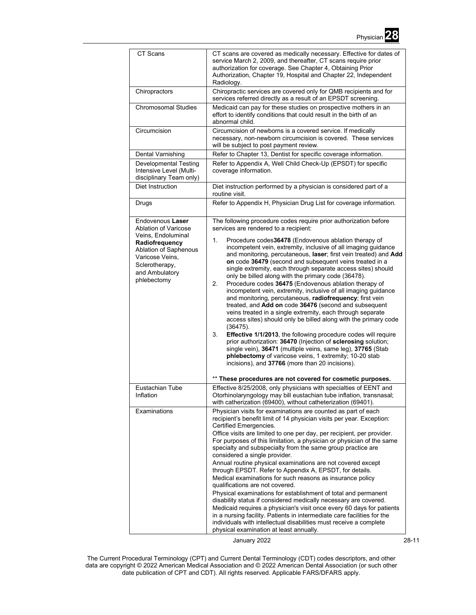| CT Scans                                                                                                                                                                        | CT scans are covered as medically necessary. Effective for dates of<br>service March 2, 2009, and thereafter, CT scans require prior<br>authorization for coverage. See Chapter 4, Obtaining Prior<br>Authorization, Chapter 19, Hospital and Chapter 22, Independent<br>Radiology.                                                                                                                                                                                                                                                                                                                                                                                                                                                                                                                                                                                                                                                                                                                                                                                                                                                                                                                                     |
|---------------------------------------------------------------------------------------------------------------------------------------------------------------------------------|-------------------------------------------------------------------------------------------------------------------------------------------------------------------------------------------------------------------------------------------------------------------------------------------------------------------------------------------------------------------------------------------------------------------------------------------------------------------------------------------------------------------------------------------------------------------------------------------------------------------------------------------------------------------------------------------------------------------------------------------------------------------------------------------------------------------------------------------------------------------------------------------------------------------------------------------------------------------------------------------------------------------------------------------------------------------------------------------------------------------------------------------------------------------------------------------------------------------------|
| Chiropractors                                                                                                                                                                   | Chiropractic services are covered only for QMB recipients and for<br>services referred directly as a result of an EPSDT screening.                                                                                                                                                                                                                                                                                                                                                                                                                                                                                                                                                                                                                                                                                                                                                                                                                                                                                                                                                                                                                                                                                      |
| <b>Chromosomal Studies</b>                                                                                                                                                      | Medicaid can pay for these studies on prospective mothers in an<br>effort to identify conditions that could result in the birth of an<br>abnormal child.                                                                                                                                                                                                                                                                                                                                                                                                                                                                                                                                                                                                                                                                                                                                                                                                                                                                                                                                                                                                                                                                |
| Circumcision                                                                                                                                                                    | Circumcision of newborns is a covered service. If medically<br>necessary, non-newborn circumcision is covered. These services<br>will be subject to post payment review.                                                                                                                                                                                                                                                                                                                                                                                                                                                                                                                                                                                                                                                                                                                                                                                                                                                                                                                                                                                                                                                |
| Dental Varnishing                                                                                                                                                               | Refer to Chapter 13, Dentist for specific coverage information.                                                                                                                                                                                                                                                                                                                                                                                                                                                                                                                                                                                                                                                                                                                                                                                                                                                                                                                                                                                                                                                                                                                                                         |
| <b>Developmental Testing</b><br>Intensive Level (Multi-<br>disciplinary Team only)                                                                                              | Refer to Appendix A, Well Child Check-Up (EPSDT) for specific<br>coverage information.                                                                                                                                                                                                                                                                                                                                                                                                                                                                                                                                                                                                                                                                                                                                                                                                                                                                                                                                                                                                                                                                                                                                  |
| Diet Instruction                                                                                                                                                                | Diet instruction performed by a physician is considered part of a<br>routine visit.                                                                                                                                                                                                                                                                                                                                                                                                                                                                                                                                                                                                                                                                                                                                                                                                                                                                                                                                                                                                                                                                                                                                     |
| Drugs                                                                                                                                                                           | Refer to Appendix H, Physician Drug List for coverage information.                                                                                                                                                                                                                                                                                                                                                                                                                                                                                                                                                                                                                                                                                                                                                                                                                                                                                                                                                                                                                                                                                                                                                      |
| Endovenous Laser<br>Ablation of Varicose<br>Veins. Endoluminal<br>Radiofrequency<br>Ablation of Saphenous<br>Varicose Veins,<br>Sclerotherapy,<br>and Ambulatory<br>phlebectomy | The following procedure codes require prior authorization before<br>services are rendered to a recipient:<br>Procedure codes36478 (Endovenous ablation therapy of<br>1.<br>incompetent vein, extremity, inclusive of all imaging guidance<br>and monitoring, percutaneous, laser; first vein treated) and Add<br>on code 36479 (second and subsequent veins treated in a<br>single extremity, each through separate access sites) should<br>only be billed along with the primary code (36478).<br>Procedure codes 36475 (Endovenous ablation therapy of<br>2.<br>incompetent vein, extremity, inclusive of all imaging guidance<br>and monitoring, percutaneous, radiofrequency, first vein<br>treated, and Add on code 36476 (second and subsequent<br>veins treated in a single extremity, each through separate<br>access sites) should only be billed along with the primary code<br>(36475).<br>3.<br>Effective 1/1/2013, the following procedure codes will require<br>prior authorization: 36470 (Injection of sclerosing solution;<br>single vein), 36471 (multiple veins, same leg), 37765 (Stab<br>phlebectomy of varicose veins, 1 extremity; 10-20 stab<br>incisions), and 37766 (more than 20 incisions). |
|                                                                                                                                                                                 | ** These procedures are not covered for cosmetic purposes.                                                                                                                                                                                                                                                                                                                                                                                                                                                                                                                                                                                                                                                                                                                                                                                                                                                                                                                                                                                                                                                                                                                                                              |
| Eustachian Tube<br>Inflation                                                                                                                                                    | Effective 8/25/2008, only physicians with specialties of EENT and<br>Otorhinolaryngology may bill eustachian tube inflation, transnasal;<br>with catherization (69400), without catheterization (69401).                                                                                                                                                                                                                                                                                                                                                                                                                                                                                                                                                                                                                                                                                                                                                                                                                                                                                                                                                                                                                |
| Examinations                                                                                                                                                                    | Physician visits for examinations are counted as part of each<br>recipient's benefit limit of 14 physician visits per year. Exception:<br>Certified Emergencies.<br>Office visits are limited to one per day, per recipient, per provider.<br>For purposes of this limitation, a physician or physician of the same<br>specialty and subspecialty from the same group practice are<br>considered a single provider.<br>Annual routine physical examinations are not covered except<br>through EPSDT. Refer to Appendix A, EPSDT, for details.<br>Medical examinations for such reasons as insurance policy<br>qualifications are not covered.<br>Physical examinations for establishment of total and permanent<br>disability status if considered medically necessary are covered.<br>Medicaid requires a physician's visit once every 60 days for patients<br>in a nursing facility. Patients in intermediate care facilities for the<br>individuals with intellectual disabilities must receive a complete<br>physical examination at least annually.                                                                                                                                                                |

January 2022 28-11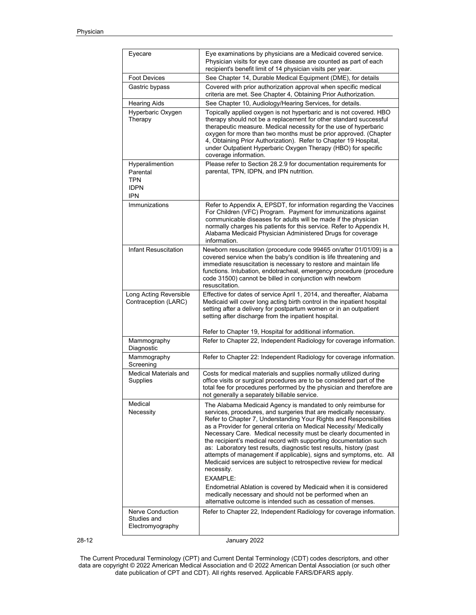|       | Eyecare                                                                | Eye examinations by physicians are a Medicaid covered service.<br>Physician visits for eye care disease are counted as part of each<br>recipient's benefit limit of 14 physician visits per year.                                                                                                                                                                                                                                                                                                                                                                                                                                                                                                                                                                                                          |
|-------|------------------------------------------------------------------------|------------------------------------------------------------------------------------------------------------------------------------------------------------------------------------------------------------------------------------------------------------------------------------------------------------------------------------------------------------------------------------------------------------------------------------------------------------------------------------------------------------------------------------------------------------------------------------------------------------------------------------------------------------------------------------------------------------------------------------------------------------------------------------------------------------|
|       | <b>Foot Devices</b>                                                    | See Chapter 14, Durable Medical Equipment (DME), for details                                                                                                                                                                                                                                                                                                                                                                                                                                                                                                                                                                                                                                                                                                                                               |
|       | Gastric bypass                                                         | Covered with prior authorization approval when specific medical<br>criteria are met. See Chapter 4, Obtaining Prior Authorization.                                                                                                                                                                                                                                                                                                                                                                                                                                                                                                                                                                                                                                                                         |
|       | <b>Hearing Aids</b>                                                    | See Chapter 10, Audiology/Hearing Services, for details.                                                                                                                                                                                                                                                                                                                                                                                                                                                                                                                                                                                                                                                                                                                                                   |
|       | Hyperbaric Oxygen<br>Therapy                                           | Topically applied oxygen is not hyperbaric and is not covered. HBO<br>therapy should not be a replacement for other standard successful<br>therapeutic measure. Medical necessity for the use of hyperbaric<br>oxygen for more than two months must be prior approved. (Chapter<br>4, Obtaining Prior Authorization). Refer to Chapter 19 Hospital,<br>under Outpatient Hyperbaric Oxygen Therapy (HBO) for specific<br>coverage information.                                                                                                                                                                                                                                                                                                                                                              |
|       | Hyperalimention<br>Parental<br><b>TPN</b><br><b>IDPN</b><br><b>IPN</b> | Please refer to Section 28.2.9 for documentation requirements for<br>parental, TPN, IDPN, and IPN nutrition.                                                                                                                                                                                                                                                                                                                                                                                                                                                                                                                                                                                                                                                                                               |
|       | Immunizations                                                          | Refer to Appendix A, EPSDT, for information regarding the Vaccines<br>For Children (VFC) Program. Payment for immunizations against<br>communicable diseases for adults will be made if the physician<br>normally charges his patients for this service. Refer to Appendix H,<br>Alabama Medicaid Physician Administered Drugs for coverage<br>information                                                                                                                                                                                                                                                                                                                                                                                                                                                 |
|       | Infant Resuscitation                                                   | Newborn resuscitation (procedure code 99465 on/after 01/01/09) is a<br>covered service when the baby's condition is life threatening and<br>immediate resuscitation is necessary to restore and maintain life<br>functions. Intubation, endotracheal, emergency procedure (procedure<br>code 31500) cannot be billed in conjunction with newborn<br>resuscitation.                                                                                                                                                                                                                                                                                                                                                                                                                                         |
|       | Long Acting Reversible<br>Contraception (LARC)                         | Effective for dates of service April 1, 2014, and thereafter, Alabama<br>Medicaid will cover long acting birth control in the inpatient hospital<br>setting after a delivery for postpartum women or in an outpatient<br>setting after discharge from the inpatient hospital.                                                                                                                                                                                                                                                                                                                                                                                                                                                                                                                              |
|       | Mammography<br>Diagnostic                                              | Refer to Chapter 19, Hospital for additional information.<br>Refer to Chapter 22, Independent Radiology for coverage information.                                                                                                                                                                                                                                                                                                                                                                                                                                                                                                                                                                                                                                                                          |
|       | Mammography<br>Screening                                               | Refer to Chapter 22: Independent Radiology for coverage information.                                                                                                                                                                                                                                                                                                                                                                                                                                                                                                                                                                                                                                                                                                                                       |
|       | Medical Materials and<br>Supplies                                      | Costs for medical materials and supplies normally utilized during<br>office visits or surgical procedures are to be considered part of the<br>total fee for procedures performed by the physician and therefore are<br>not generally a separately billable service.                                                                                                                                                                                                                                                                                                                                                                                                                                                                                                                                        |
|       | Medical<br>Necessity                                                   | The Alabama Medicaid Agency is mandated to only reimburse for<br>services, procedures, and surgeries that are medically necessary.<br>Refer to Chapter 7, Understanding Your Rights and Responsibilities<br>as a Provider for general criteria on Medical Necessity/ Medically<br>Necessary Care. Medical necessity must be clearly documented in<br>the recipient's medical record with supporting documentation such<br>as: Laboratory test results, diagnostic test results, history (past<br>attempts of management if applicable), signs and symptoms, etc. All<br>Medicaid services are subject to retrospective review for medical<br>necessity.<br><b>EXAMPLE:</b><br>Endometrial Ablation is covered by Medicaid when it is considered<br>medically necessary and should not be performed when an |
|       | Nerve Conduction                                                       | alternative outcome is intended such as cessation of menses.<br>Refer to Chapter 22, Independent Radiology for coverage information.                                                                                                                                                                                                                                                                                                                                                                                                                                                                                                                                                                                                                                                                       |
|       | Studies and<br>Electromyography                                        |                                                                                                                                                                                                                                                                                                                                                                                                                                                                                                                                                                                                                                                                                                                                                                                                            |
| 28-12 |                                                                        | January 2022                                                                                                                                                                                                                                                                                                                                                                                                                                                                                                                                                                                                                                                                                                                                                                                               |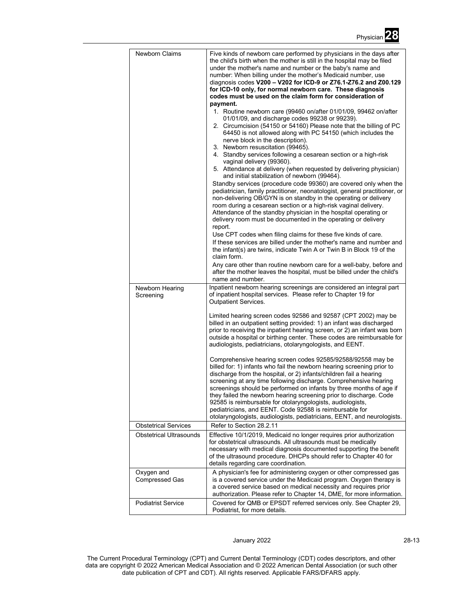| Newborn Claims                 | Five kinds of newborn care performed by physicians in the days after<br>the child's birth when the mother is still in the hospital may be filed<br>under the mother's name and number or the baby's name and<br>number: When billing under the mother's Medicaid number, use<br>diagnosis codes V200 - V202 for ICD-9 or Z76.1-Z76.2 and Z00.129<br>for ICD-10 only, for normal newborn care. These diagnosis<br>codes must be used on the claim form for consideration of<br>payment.                                                                                                                                           |
|--------------------------------|----------------------------------------------------------------------------------------------------------------------------------------------------------------------------------------------------------------------------------------------------------------------------------------------------------------------------------------------------------------------------------------------------------------------------------------------------------------------------------------------------------------------------------------------------------------------------------------------------------------------------------|
|                                | 1. Routine newborn care (99460 on/after 01/01/09, 99462 on/after<br>01/01/09, and discharge codes 99238 or 99239).<br>2. Circumcision (54150 or 54160) Please note that the billing of PC<br>64450 is not allowed along with PC 54150 (which includes the<br>nerve block in the description).<br>3. Newborn resuscitation (99465).<br>4. Standby services following a cesarean section or a high-risk                                                                                                                                                                                                                            |
|                                | vaginal delivery (99360).<br>5. Attendance at delivery (when requested by delivering physician)<br>and initial stabilization of newborn (99464).                                                                                                                                                                                                                                                                                                                                                                                                                                                                                 |
|                                | Standby services (procedure code 99360) are covered only when the<br>pediatrician, family practitioner, neonatologist, general practitioner, or<br>non-delivering OB/GYN is on standby in the operating or delivery<br>room during a cesarean section or a high-risk vaginal delivery.<br>Attendance of the standby physician in the hospital operating or<br>delivery room must be documented in the operating or delivery<br>report.                                                                                                                                                                                           |
|                                | Use CPT codes when filing claims for these five kinds of care.<br>If these services are billed under the mother's name and number and<br>the infant(s) are twins, indicate Twin A or Twin B in Block 19 of the<br>claim form.                                                                                                                                                                                                                                                                                                                                                                                                    |
|                                | Any care other than routine newborn care for a well-baby, before and<br>after the mother leaves the hospital, must be billed under the child's<br>name and number.                                                                                                                                                                                                                                                                                                                                                                                                                                                               |
| Newborn Hearing<br>Screening   | Inpatient newborn hearing screenings are considered an integral part<br>of inpatient hospital services. Please refer to Chapter 19 for<br><b>Outpatient Services.</b>                                                                                                                                                                                                                                                                                                                                                                                                                                                            |
|                                | Limited hearing screen codes 92586 and 92587 (CPT 2002) may be<br>billed in an outpatient setting provided: 1) an infant was discharged<br>prior to receiving the inpatient hearing screen, or 2) an infant was born<br>outside a hospital or birthing center. These codes are reimbursable for<br>audiologists, pediatricians, otolaryngologists, and EENT.                                                                                                                                                                                                                                                                     |
|                                | Comprehensive hearing screen codes 92585/92588/92558 may be<br>billed for: 1) infants who fail the newborn hearing screening prior to<br>discharge from the hospital, or 2) infants/children fail a hearing<br>screening at any time following discharge. Comprehensive hearing<br>screenings should be performed on infants by three months of age if<br>they failed the newborn hearing screening prior to discharge. Code<br>92585 is reimbursable for otolaryngologists, audiologists,<br>pediatricians, and EENT. Code 92588 is reimbursable for<br>otolaryngologists, audiologists, pediatricians, EENT, and neurologists. |
| <b>Obstetrical Services</b>    | Refer to Section 28.2.11                                                                                                                                                                                                                                                                                                                                                                                                                                                                                                                                                                                                         |
| <b>Obstetrical Ultrasounds</b> | Effective 10/1/2019, Medicaid no longer requires prior authorization<br>for obstetrical ultrasounds. All ultrasounds must be medically<br>necessary with medical diagnosis documented supporting the benefit<br>of the ultrasound procedure. DHCPs should refer to Chapter 40 for<br>details regarding care coordination.                                                                                                                                                                                                                                                                                                        |
| Oxygen and<br>Compressed Gas   | A physician's fee for administering oxygen or other compressed gas<br>is a covered service under the Medicaid program. Oxygen therapy is<br>a covered service based on medical necessity and requires prior<br>authorization. Please refer to Chapter 14, DME, for more information.                                                                                                                                                                                                                                                                                                                                             |
| <b>Podiatrist Service</b>      | Covered for QMB or EPSDT referred services only. See Chapter 29,<br>Podiatrist, for more details.                                                                                                                                                                                                                                                                                                                                                                                                                                                                                                                                |

# January 2022 28-13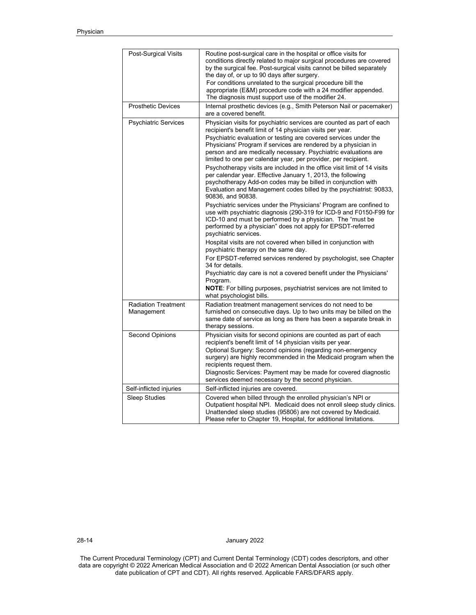| Post-Surgical Visits                     | Routine post-surgical care in the hospital or office visits for<br>conditions directly related to major surgical procedures are covered<br>by the surgical fee. Post-surgical visits cannot be billed separately<br>the day of, or up to 90 days after surgery.<br>For conditions unrelated to the surgical procedure bill the<br>appropriate (E&M) procedure code with a 24 modifier appended.<br>The diagnosis must support use of the modifier 24.                                                                                                                                                                                                                                                                                                                                                                                                                                                                                                                                                                                                                                                                                                                                                                                                                                                                                                                                                                   |
|------------------------------------------|-------------------------------------------------------------------------------------------------------------------------------------------------------------------------------------------------------------------------------------------------------------------------------------------------------------------------------------------------------------------------------------------------------------------------------------------------------------------------------------------------------------------------------------------------------------------------------------------------------------------------------------------------------------------------------------------------------------------------------------------------------------------------------------------------------------------------------------------------------------------------------------------------------------------------------------------------------------------------------------------------------------------------------------------------------------------------------------------------------------------------------------------------------------------------------------------------------------------------------------------------------------------------------------------------------------------------------------------------------------------------------------------------------------------------|
| <b>Prosthetic Devices</b>                | Internal prosthetic devices (e.g., Smith Peterson Nail or pacemaker)<br>are a covered benefit.                                                                                                                                                                                                                                                                                                                                                                                                                                                                                                                                                                                                                                                                                                                                                                                                                                                                                                                                                                                                                                                                                                                                                                                                                                                                                                                          |
| <b>Psychiatric Services</b>              | Physician visits for psychiatric services are counted as part of each<br>recipient's benefit limit of 14 physician visits per year.<br>Psychiatric evaluation or testing are covered services under the<br>Physicians' Program if services are rendered by a physician in<br>person and are medically necessary. Psychiatric evaluations are<br>limited to one per calendar year, per provider, per recipient.<br>Psychotherapy visits are included in the office visit limit of 14 visits<br>per calendar year. Effective January 1, 2013, the following<br>psychotherapy Add-on codes may be billed in conjunction with<br>Evaluation and Management codes billed by the psychiatrist: 90833,<br>90836, and 90838.<br>Psychiatric services under the Physicians' Program are confined to<br>use with psychiatric diagnosis (290-319 for ICD-9 and F0150-F99 for<br>ICD-10 and must be performed by a physician. The "must be<br>performed by a physician" does not apply for EPSDT-referred<br>psychiatric services.<br>Hospital visits are not covered when billed in conjunction with<br>psychiatric therapy on the same day.<br>For EPSDT-referred services rendered by psychologist, see Chapter<br>34 for details.<br>Psychiatric day care is not a covered benefit under the Physicians'<br>Program.<br><b>NOTE:</b> For billing purposes, psychiatrist services are not limited to<br>what psychologist bills. |
| <b>Radiation Treatment</b><br>Management | Radiation treatment management services do not need to be<br>furnished on consecutive days. Up to two units may be billed on the<br>same date of service as long as there has been a separate break in                                                                                                                                                                                                                                                                                                                                                                                                                                                                                                                                                                                                                                                                                                                                                                                                                                                                                                                                                                                                                                                                                                                                                                                                                  |
| <b>Second Opinions</b>                   | therapy sessions.<br>Physician visits for second opinions are counted as part of each<br>recipient's benefit limit of 14 physician visits per year.<br>Optional Surgery: Second opinions (regarding non-emergency<br>surgery) are highly recommended in the Medicaid program when the<br>recipients request them.<br>Diagnostic Services: Payment may be made for covered diagnostic<br>services deemed necessary by the second physician.                                                                                                                                                                                                                                                                                                                                                                                                                                                                                                                                                                                                                                                                                                                                                                                                                                                                                                                                                                              |
| Self-inflicted injuries                  | Self-inflicted injuries are covered.                                                                                                                                                                                                                                                                                                                                                                                                                                                                                                                                                                                                                                                                                                                                                                                                                                                                                                                                                                                                                                                                                                                                                                                                                                                                                                                                                                                    |
| <b>Sleep Studies</b>                     | Covered when billed through the enrolled physician's NPI or<br>Outpatient hospital NPI. Medicaid does not enroll sleep study clinics.<br>Unattended sleep studies (95806) are not covered by Medicaid.<br>Please refer to Chapter 19, Hospital, for additional limitations.                                                                                                                                                                                                                                                                                                                                                                                                                                                                                                                                                                                                                                                                                                                                                                                                                                                                                                                                                                                                                                                                                                                                             |

28-14 January 2022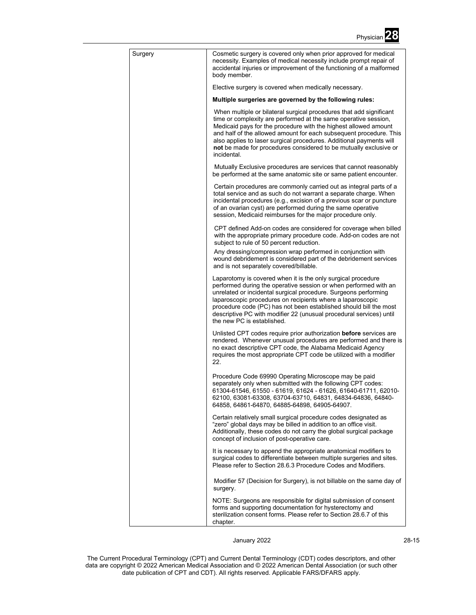

| Surgery | Cosmetic surgery is covered only when prior approved for medical<br>necessity. Examples of medical necessity include prompt repair of<br>accidental injuries or improvement of the functioning of a malformed<br>body member.                                                                                                                                                                                                               |
|---------|---------------------------------------------------------------------------------------------------------------------------------------------------------------------------------------------------------------------------------------------------------------------------------------------------------------------------------------------------------------------------------------------------------------------------------------------|
|         | Elective surgery is covered when medically necessary.                                                                                                                                                                                                                                                                                                                                                                                       |
|         | Multiple surgeries are governed by the following rules:                                                                                                                                                                                                                                                                                                                                                                                     |
|         | When multiple or bilateral surgical procedures that add significant<br>time or complexity are performed at the same operative session,<br>Medicaid pays for the procedure with the highest allowed amount<br>and half of the allowed amount for each subsequent procedure. This<br>also applies to laser surgical procedures. Additional payments will<br>not be made for procedures considered to be mutually exclusive or<br>incidental.  |
|         | Mutually Exclusive procedures are services that cannot reasonably<br>be performed at the same anatomic site or same patient encounter.                                                                                                                                                                                                                                                                                                      |
|         | Certain procedures are commonly carried out as integral parts of a<br>total service and as such do not warrant a separate charge. When<br>incidental procedures (e.g., excision of a previous scar or puncture<br>of an ovarian cyst) are performed during the same operative<br>session, Medicaid reimburses for the major procedure only.                                                                                                 |
|         | CPT defined Add-on codes are considered for coverage when billed<br>with the appropriate primary procedure code. Add-on codes are not<br>subject to rule of 50 percent reduction.                                                                                                                                                                                                                                                           |
|         | Any dressing/compression wrap performed in conjunction with<br>wound debridement is considered part of the debridement services<br>and is not separately covered/billable.                                                                                                                                                                                                                                                                  |
|         | Laparotomy is covered when it is the only surgical procedure<br>performed during the operative session or when performed with an<br>unrelated or incidental surgical procedure. Surgeons performing<br>laparoscopic procedures on recipients where a laparoscopic<br>procedure code (PC) has not been established should bill the most<br>descriptive PC with modifier 22 (unusual procedural services) until<br>the new PC is established. |
|         | Unlisted CPT codes require prior authorization <b>before</b> services are<br>rendered. Whenever unusual procedures are performed and there is<br>no exact descriptive CPT code, the Alabama Medicaid Agency<br>requires the most appropriate CPT code be utilized with a modifier<br>22.                                                                                                                                                    |
|         | Procedure Code 69990 Operating Microscope may be paid<br>separately only when submitted with the following CPT codes:<br>61304-61546, 61550 - 61619, 61624 - 61626, 61640-61711, 62010-<br>62100, 63081-63308, 63704-63710, 64831, 64834-64836, 64840-<br>64858, 64861-64870, 64885-64898, 64905-64907.                                                                                                                                     |
|         | Certain relatively small surgical procedure codes designated as<br>"zero" global days may be billed in addition to an office visit.<br>Additionally, these codes do not carry the global surgical package<br>concept of inclusion of post-operative care.                                                                                                                                                                                   |
|         | It is necessary to append the appropriate anatomical modifiers to<br>surgical codes to differentiate between multiple surgeries and sites.<br>Please refer to Section 28.6.3 Procedure Codes and Modifiers.                                                                                                                                                                                                                                 |
|         | Modifier 57 (Decision for Surgery), is not billable on the same day of<br>surgery.                                                                                                                                                                                                                                                                                                                                                          |
|         | NOTE: Surgeons are responsible for digital submission of consent<br>forms and supporting documentation for hysterectomy and<br>sterilization consent forms. Please refer to Section 28.6.7 of this<br>chapter.                                                                                                                                                                                                                              |

January 2022 28-15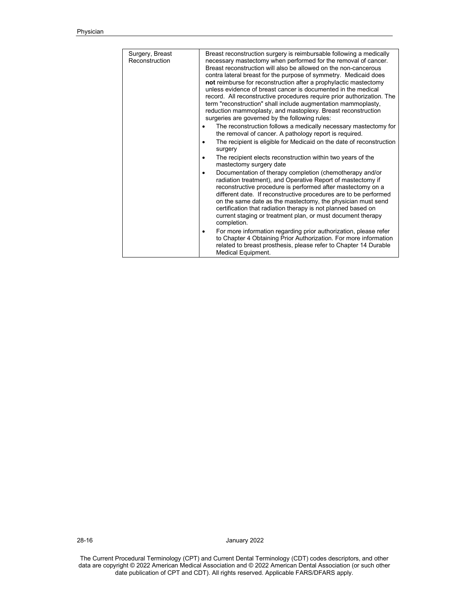| Surgery, Breast<br>Reconstruction | Breast reconstruction surgery is reimbursable following a medically<br>necessary mastectomy when performed for the removal of cancer.<br>Breast reconstruction will also be allowed on the non-cancerous<br>contra lateral breast for the purpose of symmetry. Medicaid does<br>not reimburse for reconstruction after a prophylactic mastectomy<br>unless evidence of breast cancer is documented in the medical<br>record. All reconstructive procedures require prior authorization. The<br>term "reconstruction" shall include augmentation mammoplasty,<br>reduction mammoplasty, and mastoplexy. Breast reconstruction<br>surgeries are governed by the following rules:<br>The reconstruction follows a medically necessary mastectomy for<br>the removal of cancer. A pathology report is required.<br>The recipient is eligible for Medicaid on the date of reconstruction<br>surgery |
|-----------------------------------|------------------------------------------------------------------------------------------------------------------------------------------------------------------------------------------------------------------------------------------------------------------------------------------------------------------------------------------------------------------------------------------------------------------------------------------------------------------------------------------------------------------------------------------------------------------------------------------------------------------------------------------------------------------------------------------------------------------------------------------------------------------------------------------------------------------------------------------------------------------------------------------------|
|                                   | The recipient elects reconstruction within two years of the<br>$\bullet$<br>mastectomy surgery date                                                                                                                                                                                                                                                                                                                                                                                                                                                                                                                                                                                                                                                                                                                                                                                            |
|                                   | Documentation of therapy completion (chemotherapy and/or<br>$\bullet$<br>radiation treatment), and Operative Report of mastectomy if<br>reconstructive procedure is performed after mastectomy on a<br>different date. If reconstructive procedures are to be performed<br>on the same date as the mastectomy, the physician must send<br>certification that radiation therapy is not planned based on<br>current staging or treatment plan, or must document therapy<br>completion.                                                                                                                                                                                                                                                                                                                                                                                                           |
|                                   | For more information regarding prior authorization, please refer<br>to Chapter 4 Obtaining Prior Authorization. For more information<br>related to breast prosthesis, please refer to Chapter 14 Durable<br>Medical Equipment.                                                                                                                                                                                                                                                                                                                                                                                                                                                                                                                                                                                                                                                                 |

28-16 January 2022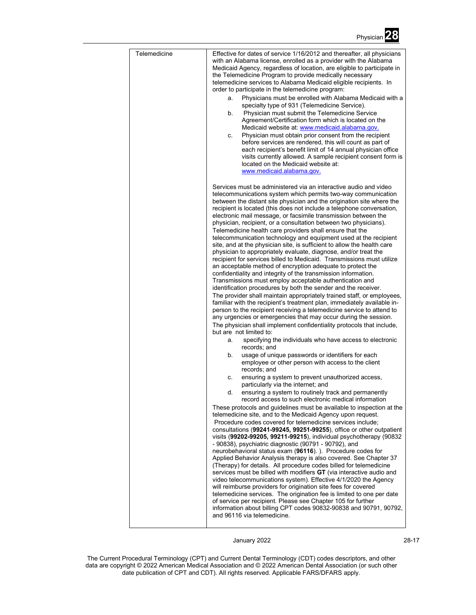| Telemedicine | Effective for dates of service 1/16/2012 and thereafter, all physicians<br>with an Alabama license, enrolled as a provider with the Alabama<br>Medicaid Agency, regardless of location, are eligible to participate in<br>the Telemedicine Program to provide medically necessary<br>telemedicine services to Alabama Medicaid eligible recipients. In<br>order to participate in the telemedicine program:<br>Physicians must be enrolled with Alabama Medicaid with a<br>a.<br>specialty type of 931 (Telemedicine Service).<br>b.<br>Physician must submit the Telemedicine Service<br>Agreement/Certification form which is located on the<br>Medicaid website at www.medicaid.alabama.gov.<br>Physician must obtain prior consent from the recipient<br>С.<br>before services are rendered, this will count as part of<br>each recipient's benefit limit of 14 annual physician office<br>visits currently allowed. A sample recipient consent form is<br>located on the Medicaid website at:<br>www.medicaid.alabama.gov.                                                                                                                                                                                                                                                                                                                                                                                                                                                                                      |
|--------------|----------------------------------------------------------------------------------------------------------------------------------------------------------------------------------------------------------------------------------------------------------------------------------------------------------------------------------------------------------------------------------------------------------------------------------------------------------------------------------------------------------------------------------------------------------------------------------------------------------------------------------------------------------------------------------------------------------------------------------------------------------------------------------------------------------------------------------------------------------------------------------------------------------------------------------------------------------------------------------------------------------------------------------------------------------------------------------------------------------------------------------------------------------------------------------------------------------------------------------------------------------------------------------------------------------------------------------------------------------------------------------------------------------------------------------------------------------------------------------------------------------------------|
|              | Services must be administered via an interactive audio and video<br>telecommunications system which permits two-way communication<br>between the distant site physician and the origination site where the<br>recipient is located (this does not include a telephone conversation,<br>electronic mail message, or facsimile transmission between the<br>physician, recipient, or a consultation between two physicians).<br>Telemedicine health care providers shall ensure that the<br>telecommunication technology and equipment used at the recipient<br>site, and at the physician site, is sufficient to allow the health care<br>physician to appropriately evaluate, diagnose, and/or treat the<br>recipient for services billed to Medicaid. Transmissions must utilize<br>an acceptable method of encryption adequate to protect the<br>confidentiality and integrity of the transmission information.<br>Transmissions must employ acceptable authentication and<br>identification procedures by both the sender and the receiver.<br>The provider shall maintain appropriately trained staff, or employees,<br>familiar with the recipient's treatment plan, immediately available in-<br>person to the recipient receiving a telemedicine service to attend to<br>any urgencies or emergencies that may occur during the session.<br>The physician shall implement confidentiality protocols that include,<br>but are not limited to:<br>specifying the individuals who have access to electronic<br>a. |
|              | records; and<br>usage of unique passwords or identifiers for each<br>b.<br>employee or other person with access to the client<br>records; and<br>ensuring a system to prevent unauthorized access,<br>С.<br>particularly via the internet; and<br>ensuring a system to routinely track and permanently<br>d.<br>record access to such electronic medical information<br>These protocols and guidelines must be available to inspection at the<br>telemedicine site, and to the Medicaid Agency upon request.<br>Procedure codes covered for telemedicine services include;<br>consultations (99241-99245, 99251-99255), office or other outpatient<br>visits (99202-99205, 99211-99215), individual psychotherapy (90832<br>- 90838), psychiatric diagnostic (90791 - 90792), and<br>neurobehavioral status exam (96116).). Procedure codes for<br>Applied Behavior Analysis therapy is also covered. See Chapter 37<br>(Therapy) for details. All procedure codes billed for telemedicine<br>services must be billed with modifiers GT (via interactive audio and<br>video telecommunications system). Effective 4/1/2020 the Agency<br>will reimburse providers for origination site fees for covered<br>telemedicine services. The origination fee is limited to one per date<br>of service per recipient. Please see Chapter 105 for further<br>information about billing CPT codes 90832-90838 and 90791, 90792,                                                                                                |
|              | and 96116 via telemedicine.                                                                                                                                                                                                                                                                                                                                                                                                                                                                                                                                                                                                                                                                                                                                                                                                                                                                                                                                                                                                                                                                                                                                                                                                                                                                                                                                                                                                                                                                                          |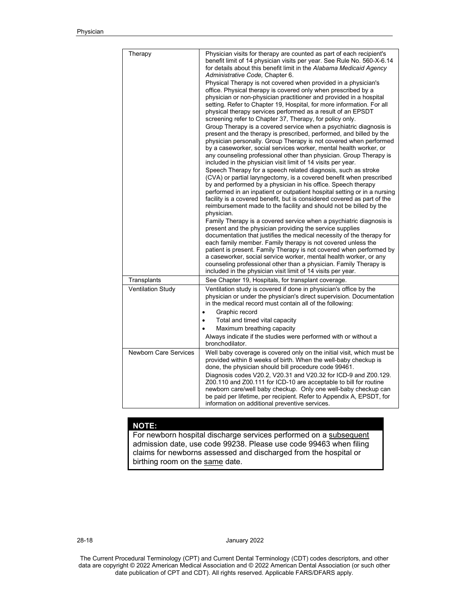| Therapy                      | Physician visits for therapy are counted as part of each recipient's<br>benefit limit of 14 physician visits per year. See Rule No. 560-X-6.14<br>for details about this benefit limit in the Alabama Medicaid Agency<br>Administrative Code, Chapter 6.<br>Physical Therapy is not covered when provided in a physician's<br>office. Physical therapy is covered only when prescribed by a<br>physician or non-physician practitioner and provided in a hospital<br>setting. Refer to Chapter 19, Hospital, for more information. For all<br>physical therapy services performed as a result of an EPSDT<br>screening refer to Chapter 37, Therapy, for policy only.<br>Group Therapy is a covered service when a psychiatric diagnosis is<br>present and the therapy is prescribed, performed, and billed by the<br>physician personally. Group Therapy is not covered when performed<br>by a caseworker, social services worker, mental health worker, or<br>any counseling professional other than physician. Group Therapy is<br>included in the physician visit limit of 14 visits per year.<br>Speech Therapy for a speech related diagnosis, such as stroke<br>(CVA) or partial laryngectomy, is a covered benefit when prescribed<br>by and performed by a physician in his office. Speech therapy<br>performed in an inpatient or outpatient hospital setting or in a nursing<br>facility is a covered benefit, but is considered covered as part of the<br>reimbursement made to the facility and should not be billed by the<br>physician.<br>Family Therapy is a covered service when a psychiatric diagnosis is<br>present and the physician providing the service supplies<br>documentation that justifies the medical necessity of the therapy for<br>each family member. Family therapy is not covered unless the<br>patient is present. Family Therapy is not covered when performed by<br>a caseworker, social service worker, mental health worker, or any<br>counseling professional other than a physician. Family Therapy is<br>included in the physician visit limit of 14 visits per year. |
|------------------------------|---------------------------------------------------------------------------------------------------------------------------------------------------------------------------------------------------------------------------------------------------------------------------------------------------------------------------------------------------------------------------------------------------------------------------------------------------------------------------------------------------------------------------------------------------------------------------------------------------------------------------------------------------------------------------------------------------------------------------------------------------------------------------------------------------------------------------------------------------------------------------------------------------------------------------------------------------------------------------------------------------------------------------------------------------------------------------------------------------------------------------------------------------------------------------------------------------------------------------------------------------------------------------------------------------------------------------------------------------------------------------------------------------------------------------------------------------------------------------------------------------------------------------------------------------------------------------------------------------------------------------------------------------------------------------------------------------------------------------------------------------------------------------------------------------------------------------------------------------------------------------------------------------------------------------------------------------------------------------------------------------------------------------------------------------------------------------------------------------------------------|
| Transplants                  | See Chapter 19, Hospitals, for transplant coverage.                                                                                                                                                                                                                                                                                                                                                                                                                                                                                                                                                                                                                                                                                                                                                                                                                                                                                                                                                                                                                                                                                                                                                                                                                                                                                                                                                                                                                                                                                                                                                                                                                                                                                                                                                                                                                                                                                                                                                                                                                                                                 |
| <b>Ventilation Study</b>     | Ventilation study is covered if done in physician's office by the<br>physician or under the physician's direct supervision. Documentation<br>in the medical record must contain all of the following:<br>Graphic record<br>Total and timed vital capacity<br>Maximum breathing capacity<br>Always indicate if the studies were performed with or without a                                                                                                                                                                                                                                                                                                                                                                                                                                                                                                                                                                                                                                                                                                                                                                                                                                                                                                                                                                                                                                                                                                                                                                                                                                                                                                                                                                                                                                                                                                                                                                                                                                                                                                                                                          |
|                              | bronchodilator.                                                                                                                                                                                                                                                                                                                                                                                                                                                                                                                                                                                                                                                                                                                                                                                                                                                                                                                                                                                                                                                                                                                                                                                                                                                                                                                                                                                                                                                                                                                                                                                                                                                                                                                                                                                                                                                                                                                                                                                                                                                                                                     |
| <b>Newborn Care Services</b> | Well baby coverage is covered only on the initial visit, which must be<br>provided within 8 weeks of birth. When the well-baby checkup is<br>done, the physician should bill procedure code 99461.<br>Diagnosis codes V20.2, V20.31 and V20.32 for ICD-9 and Z00.129.<br>Z00.110 and Z00.111 for ICD-10 are acceptable to bill for routine<br>newborn care/well baby checkup. Only one well-baby checkup can<br>be paid per lifetime, per recipient. Refer to Appendix A, EPSDT, for<br>information on additional preventive services.                                                                                                                                                                                                                                                                                                                                                                                                                                                                                                                                                                                                                                                                                                                                                                                                                                                                                                                                                                                                                                                                                                                                                                                                                                                                                                                                                                                                                                                                                                                                                                              |

# **NOTE:**

For newborn hospital discharge services performed on a subsequent admission date, use code 99238. Please use code 99463 when filing claims for newborns assessed and discharged from the hospital or birthing room on the same date.

28-18 January 2022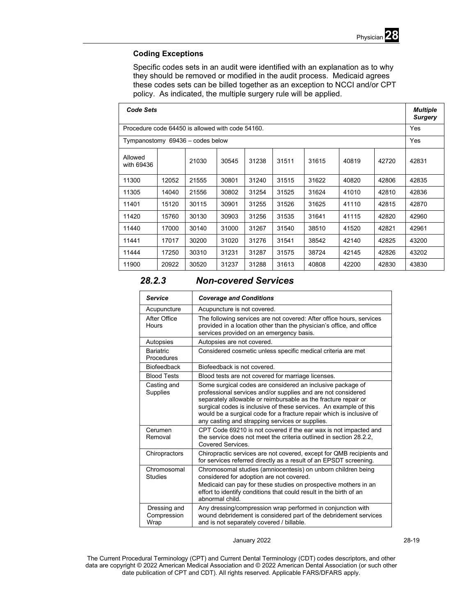

# **Coding Exceptions**

Specific codes sets in an audit were identified with an explanation as to why they should be removed or modified in the audit process. Medicaid agrees these codes sets can be billed together as an exception to NCCI and/or CPT policy. As indicated, the multiple surgery rule will be applied.

| <b>Code Sets</b>                                 |       |       |       |       |       |       |       | <b>Multiple</b><br><b>Surgery</b> |            |
|--------------------------------------------------|-------|-------|-------|-------|-------|-------|-------|-----------------------------------|------------|
| Procedure code 64450 is allowed with code 54160. |       |       |       |       |       |       |       |                                   | <b>Yes</b> |
| Tympanostomy 69436 - codes below                 |       |       |       |       |       |       |       |                                   | Yes        |
| Allowed<br>with 69436                            |       | 21030 | 30545 | 31238 | 31511 | 31615 | 40819 | 42720                             | 42831      |
| 11300                                            | 12052 | 21555 | 30801 | 31240 | 31515 | 31622 | 40820 | 42806                             | 42835      |
| 11305                                            | 14040 | 21556 | 30802 | 31254 | 31525 | 31624 | 41010 | 42810                             | 42836      |
| 11401                                            | 15120 | 30115 | 30901 | 31255 | 31526 | 31625 | 41110 | 42815                             | 42870      |
| 11420                                            | 15760 | 30130 | 30903 | 31256 | 31535 | 31641 | 41115 | 42820                             | 42960      |
| 11440                                            | 17000 | 30140 | 31000 | 31267 | 31540 | 38510 | 41520 | 42821                             | 42961      |
| 11441                                            | 17017 | 30200 | 31020 | 31276 | 31541 | 38542 | 42140 | 42825                             | 43200      |
| 11444                                            | 17250 | 30310 | 31231 | 31287 | 31575 | 38724 | 42145 | 42826                             | 43202      |
| 11900                                            | 20922 | 30520 | 31237 | 31288 | 31613 | 40808 | 42200 | 42830                             | 43830      |

# *28.2.3 Non-covered Services*

| <b>Service</b>                      | <b>Coverage and Conditions</b>                                                                                                                                                                                                                                                                                                                                                               |
|-------------------------------------|----------------------------------------------------------------------------------------------------------------------------------------------------------------------------------------------------------------------------------------------------------------------------------------------------------------------------------------------------------------------------------------------|
| Acupuncture                         | Acupuncture is not covered.                                                                                                                                                                                                                                                                                                                                                                  |
| After Office<br><b>Hours</b>        | The following services are not covered: After office hours, services<br>provided in a location other than the physician's office, and office<br>services provided on an emergency basis.                                                                                                                                                                                                     |
| Autopsies                           | Autopsies are not covered.                                                                                                                                                                                                                                                                                                                                                                   |
| <b>Bariatric</b><br>Procedures      | Considered cosmetic unless specific medical criteria are met                                                                                                                                                                                                                                                                                                                                 |
| <b>Biofeedback</b>                  | Biofeedback is not covered.                                                                                                                                                                                                                                                                                                                                                                  |
| <b>Blood Tests</b>                  | Blood tests are not covered for marriage licenses.                                                                                                                                                                                                                                                                                                                                           |
| Casting and<br>Supplies             | Some surgical codes are considered an inclusive package of<br>professional services and/or supplies and are not considered<br>separately allowable or reimbursable as the fracture repair or<br>surgical codes is inclusive of these services. An example of this<br>would be a surgical code for a fracture repair which is inclusive of<br>any casting and strapping services or supplies. |
| Cerumen<br>Removal                  | CPT Code 69210 is not covered if the ear wax is not impacted and<br>the service does not meet the criteria outlined in section 28.2.2,<br>Covered Services                                                                                                                                                                                                                                   |
| Chiropractors                       | Chiropractic services are not covered, except for QMB recipients and<br>for services referred directly as a result of an EPSDT screening.                                                                                                                                                                                                                                                    |
| Chromosomal<br><b>Studies</b>       | Chromosomal studies (amniocentesis) on unborn children being<br>considered for adoption are not covered.<br>Medicaid can pay for these studies on prospective mothers in an<br>effort to identify conditions that could result in the birth of an<br>abnormal child                                                                                                                          |
| Dressing and<br>Compression<br>Wrap | Any dressing/compression wrap performed in conjunction with<br>wound debridement is considered part of the debridement services<br>and is not separately covered / billable.                                                                                                                                                                                                                 |

# January 2022 28-19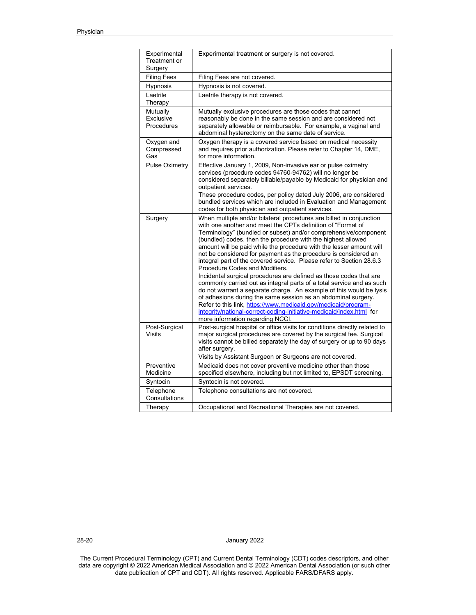| Experimental<br>Treatment or<br>Surgery | Experimental treatment or surgery is not covered.                                                                                                                                                                                                                                                                                                                                                                                                                                                                                                                                               |
|-----------------------------------------|-------------------------------------------------------------------------------------------------------------------------------------------------------------------------------------------------------------------------------------------------------------------------------------------------------------------------------------------------------------------------------------------------------------------------------------------------------------------------------------------------------------------------------------------------------------------------------------------------|
| <b>Filing Fees</b>                      | Filing Fees are not covered.                                                                                                                                                                                                                                                                                                                                                                                                                                                                                                                                                                    |
| Hypnosis                                | Hypnosis is not covered.                                                                                                                                                                                                                                                                                                                                                                                                                                                                                                                                                                        |
| Laetrile<br>Therapy                     | Laetrile therapy is not covered.                                                                                                                                                                                                                                                                                                                                                                                                                                                                                                                                                                |
| Mutually<br>Exclusive<br>Procedures     | Mutually exclusive procedures are those codes that cannot<br>reasonably be done in the same session and are considered not<br>separately allowable or reimbursable. For example, a vaginal and<br>abdominal hysterectomy on the same date of service.                                                                                                                                                                                                                                                                                                                                           |
| Oxygen and<br>Compressed<br>Gas         | Oxygen therapy is a covered service based on medical necessity<br>and requires prior authorization. Please refer to Chapter 14, DME,<br>for more information.                                                                                                                                                                                                                                                                                                                                                                                                                                   |
| <b>Pulse Oximetry</b>                   | Effective January 1, 2009, Non-invasive ear or pulse oximetry<br>services (procedure codes 94760-94762) will no longer be<br>considered separately billable/payable by Medicaid for physician and<br>outpatient services.<br>These procedure codes, per policy dated July 2006, are considered<br>bundled services which are included in Evaluation and Management<br>codes for both physician and outpatient services.                                                                                                                                                                         |
| Surgery                                 | When multiple and/or bilateral procedures are billed in conjunction<br>with one another and meet the CPTs definition of "Format of<br>Terminology" (bundled or subset) and/or comprehensive/component<br>(bundled) codes, then the procedure with the highest allowed<br>amount will be paid while the procedure with the lesser amount will<br>not be considered for payment as the procedure is considered an<br>integral part of the covered service. Please refer to Section 28.6.3<br>Procedure Codes and Modifiers.<br>Incidental surgical procedures are defined as those codes that are |
|                                         | commonly carried out as integral parts of a total service and as such<br>do not warrant a separate charge. An example of this would be lysis<br>of adhesions during the same session as an abdominal surgery.<br>Refer to this link, https://www.medicaid.gov/medicaid/program-<br>integrity/national-correct-coding-initiative-medicaid/index.html for<br>more information regarding NCCI.                                                                                                                                                                                                     |
| Post-Surgical<br>Visits                 | Post-surgical hospital or office visits for conditions directly related to<br>major surgical procedures are covered by the surgical fee. Surgical<br>visits cannot be billed separately the day of surgery or up to 90 days<br>after surgery.<br>Visits by Assistant Surgeon or Surgeons are not covered.                                                                                                                                                                                                                                                                                       |
| Preventive<br>Medicine                  | Medicaid does not cover preventive medicine other than those<br>specified elsewhere, including but not limited to, EPSDT screening.                                                                                                                                                                                                                                                                                                                                                                                                                                                             |
| Syntocin                                | Syntocin is not covered.                                                                                                                                                                                                                                                                                                                                                                                                                                                                                                                                                                        |
| Telephone<br>Consultations              | Telephone consultations are not covered.                                                                                                                                                                                                                                                                                                                                                                                                                                                                                                                                                        |
| Therapy                                 | Occupational and Recreational Therapies are not covered.                                                                                                                                                                                                                                                                                                                                                                                                                                                                                                                                        |

28-20 January 2022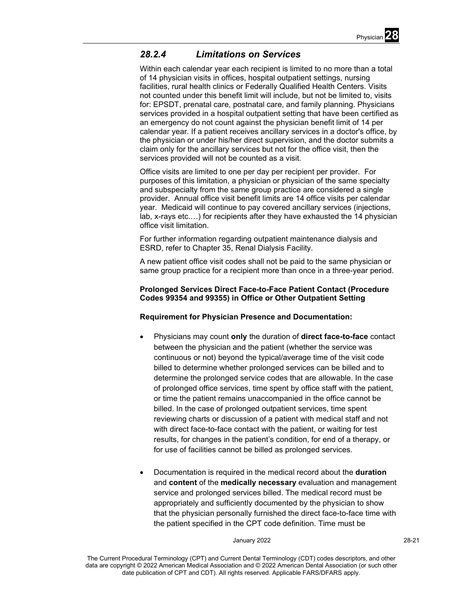

# *28.2.4 Limitations on Services*

Within each calendar year each recipient is limited to no more than a total of 14 physician visits in offices, hospital outpatient settings, nursing facilities, rural health clinics or Federally Qualified Health Centers. Visits not counted under this benefit limit will include, but not be limited to, visits for: EPSDT, prenatal care, postnatal care, and family planning. Physicians services provided in a hospital outpatient setting that have been certified as an emergency do not count against the physician benefit limit of 14 per calendar year. If a patient receives ancillary services in a doctor's office, by the physician or under his/her direct supervision, and the doctor submits a claim only for the ancillary services but not for the office visit, then the services provided will not be counted as a visit.

Office visits are limited to one per day per recipient per provider. For purposes of this limitation, a physician or physician of the same specialty and subspecialty from the same group practice are considered a single provider. Annual office visit benefit limits are 14 office visits per calendar year. Medicaid will continue to pay covered ancillary services (injections, lab, x-rays etc.…) for recipients after they have exhausted the 14 physician office visit limitation.

For further information regarding outpatient maintenance dialysis and ESRD, refer to Chapter 35, Renal Dialysis Facility.

A new patient office visit codes shall not be paid to the same physician or same group practice for a recipient more than once in a three-year period.

# **Prolonged Services Direct Face-to-Face Patient Contact (Procedure Codes 99354 and 99355) in Office or Other Outpatient Setting**

# **Requirement for Physician Presence and Documentation:**

- Physicians may count **only** the duration of **direct face-to-face** contact between the physician and the patient (whether the service was continuous or not) beyond the typical/average time of the visit code billed to determine whether prolonged services can be billed and to determine the prolonged service codes that are allowable. In the case of prolonged office services, time spent by office staff with the patient, or time the patient remains unaccompanied in the office cannot be billed. In the case of prolonged outpatient services, time spent reviewing charts or discussion of a patient with medical staff and not with direct face-to-face contact with the patient, or waiting for test results, for changes in the patient's condition, for end of a therapy, or for use of facilities cannot be billed as prolonged services.
- Documentation is required in the medical record about the **duration** and **content** of the **medically necessary** evaluation and management service and prolonged services billed. The medical record must be appropriately and sufficiently documented by the physician to show that the physician personally furnished the direct face-to-face time with the patient specified in the CPT code definition. Time must be

#### January 2022 28-21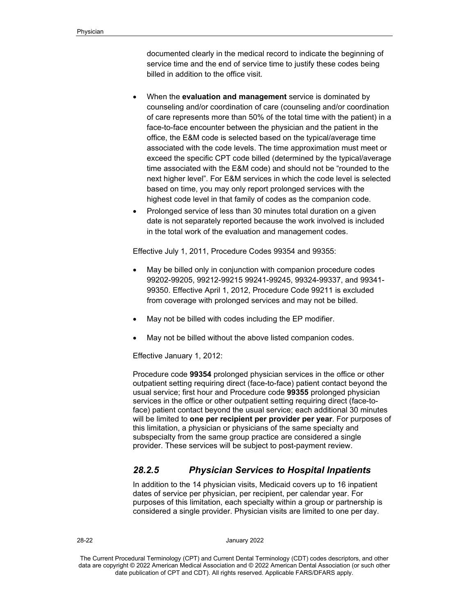documented clearly in the medical record to indicate the beginning of service time and the end of service time to justify these codes being billed in addition to the office visit.

- When the **evaluation and management** service is dominated by counseling and/or coordination of care (counseling and/or coordination of care represents more than 50% of the total time with the patient) in a face-to-face encounter between the physician and the patient in the office, the E&M code is selected based on the typical/average time associated with the code levels. The time approximation must meet or exceed the specific CPT code billed (determined by the typical/average time associated with the E&M code) and should not be "rounded to the next higher level". For E&M services in which the code level is selected based on time, you may only report prolonged services with the highest code level in that family of codes as the companion code.
- Prolonged service of less than 30 minutes total duration on a given date is not separately reported because the work involved is included in the total work of the evaluation and management codes.

Effective July 1, 2011, Procedure Codes 99354 and 99355:

- May be billed only in conjunction with companion procedure codes 99202-99205, 99212-99215 99241-99245, 99324-99337, and 99341- 99350. Effective April 1, 2012, Procedure Code 99211 is excluded from coverage with prolonged services and may not be billed.
- May not be billed with codes including the EP modifier.
- May not be billed without the above listed companion codes.

Effective January 1, 2012:

Procedure code **99354** prolonged physician services in the office or other outpatient setting requiring direct (face-to-face) patient contact beyond the usual service; first hour and Procedure code **99355** prolonged physician services in the office or other outpatient setting requiring direct (face-toface) patient contact beyond the usual service; each additional 30 minutes will be limited to **one per recipient per provider per year**. For purposes of this limitation, a physician or physicians of the same specialty and subspecialty from the same group practice are considered a single provider. These services will be subject to post-payment review.

# *28.2.5 Physician Services to Hospital Inpatients*

In addition to the 14 physician visits, Medicaid covers up to 16 inpatient dates of service per physician, per recipient, per calendar year. For purposes of this limitation, each specialty within a group or partnership is considered a single provider. Physician visits are limited to one per day.

28-22 January 2022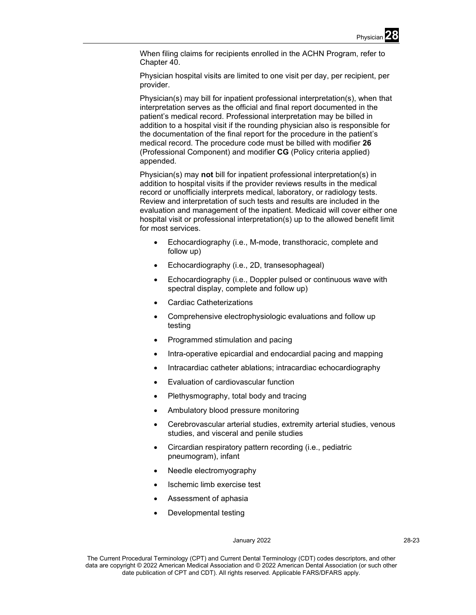When filing claims for recipients enrolled in the ACHN Program, refer to Chapter 40.

Physician hospital visits are limited to one visit per day, per recipient, per provider.

Physician(s) may bill for inpatient professional interpretation(s), when that interpretation serves as the official and final report documented in the patient's medical record. Professional interpretation may be billed in addition to a hospital visit if the rounding physician also is responsible for the documentation of the final report for the procedure in the patient's medical record. The procedure code must be billed with modifier **26** (Professional Component) and modifier **CG** (Policy criteria applied) appended.

Physician(s) may **not** bill for inpatient professional interpretation(s) in addition to hospital visits if the provider reviews results in the medical record or unofficially interprets medical, laboratory, or radiology tests. Review and interpretation of such tests and results are included in the evaluation and management of the inpatient. Medicaid will cover either one hospital visit or professional interpretation(s) up to the allowed benefit limit for most services.

- Echocardiography (i.e., M-mode, transthoracic, complete and follow up)
- Echocardiography (i.e., 2D, transesophageal)
- Echocardiography (i.e., Doppler pulsed or continuous wave with spectral display, complete and follow up)
- Cardiac Catheterizations
- Comprehensive electrophysiologic evaluations and follow up testing
- Programmed stimulation and pacing
- Intra-operative epicardial and endocardial pacing and mapping
- Intracardiac catheter ablations; intracardiac echocardiography
- Evaluation of cardiovascular function
- Plethysmography, total body and tracing
- Ambulatory blood pressure monitoring
- Cerebrovascular arterial studies, extremity arterial studies, venous studies, and visceral and penile studies
- Circardian respiratory pattern recording (i.e., pediatric pneumogram), infant
- Needle electromyography
- Ischemic limb exercise test
- Assessment of aphasia
- Developmental testing

#### January 2022 28-23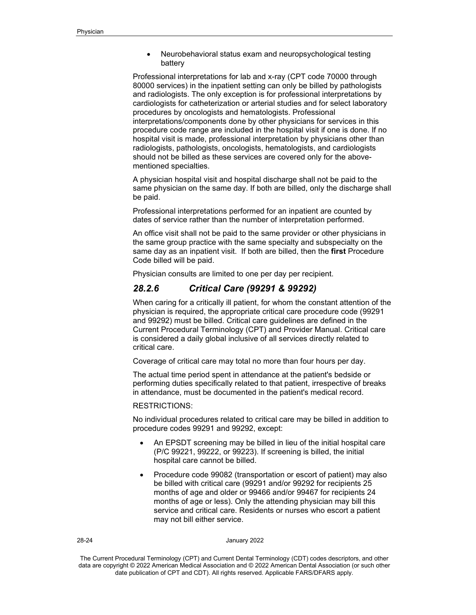• Neurobehavioral status exam and neuropsychological testing battery

Professional interpretations for lab and x-ray (CPT code 70000 through 80000 services) in the inpatient setting can only be billed by pathologists and radiologists. The only exception is for professional interpretations by cardiologists for catheterization or arterial studies and for select laboratory procedures by oncologists and hematologists. Professional interpretations/components done by other physicians for services in this procedure code range are included in the hospital visit if one is done. If no hospital visit is made, professional interpretation by physicians other than radiologists, pathologists, oncologists, hematologists, and cardiologists should not be billed as these services are covered only for the abovementioned specialties.

A physician hospital visit and hospital discharge shall not be paid to the same physician on the same day. If both are billed, only the discharge shall be paid.

Professional interpretations performed for an inpatient are counted by dates of service rather than the number of interpretation performed.

An office visit shall not be paid to the same provider or other physicians in the same group practice with the same specialty and subspecialty on the same day as an inpatient visit. If both are billed, then the **first** Procedure Code billed will be paid.

Physician consults are limited to one per day per recipient.

# *28.2.6 Critical Care (99291 & 99292)*

When caring for a critically ill patient, for whom the constant attention of the physician is required, the appropriate critical care procedure code (99291 and 99292) must be billed. Critical care guidelines are defined in the Current Procedural Terminology (CPT) and Provider Manual. Critical care is considered a daily global inclusive of all services directly related to critical care.

Coverage of critical care may total no more than four hours per day.

The actual time period spent in attendance at the patient's bedside or performing duties specifically related to that patient, irrespective of breaks in attendance, must be documented in the patient's medical record.

## RESTRICTIONS:

No individual procedures related to critical care may be billed in addition to procedure codes 99291 and 99292, except:

- An EPSDT screening may be billed in lieu of the initial hospital care (P/C 99221, 99222, or 99223). If screening is billed, the initial hospital care cannot be billed.
- Procedure code 99082 (transportation or escort of patient) may also be billed with critical care (99291 and/or 99292 for recipients 25 months of age and older or 99466 and/or 99467 for recipients 24 months of age or less). Only the attending physician may bill this service and critical care. Residents or nurses who escort a patient may not bill either service.

#### 28-24 January 2022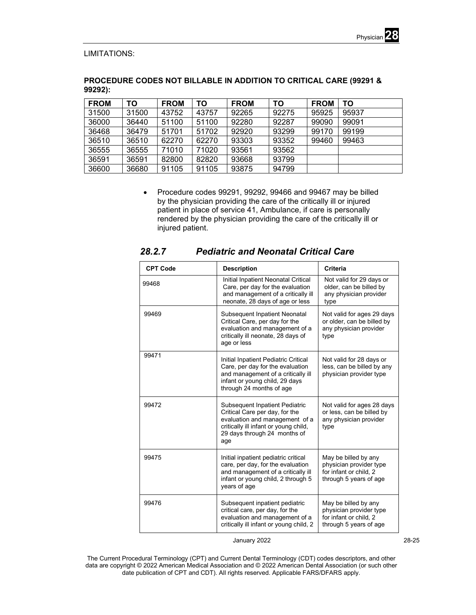

# LIMITATIONS:

# **PROCEDURE CODES NOT BILLABLE IN ADDITION TO CRITICAL CARE (99291 & 99292):**

| <b>FROM</b> | ΤО    | <b>FROM</b> | ТΟ    | <b>FROM</b> | ΤO    | <b>FROM</b> | ТΟ    |
|-------------|-------|-------------|-------|-------------|-------|-------------|-------|
| 31500       | 31500 | 43752       | 43757 | 92265       | 92275 | 95925       | 95937 |
| 36000       | 36440 | 51100       | 51100 | 92280       | 92287 | 99090       | 99091 |
| 36468       | 36479 | 51701       | 51702 | 92920       | 93299 | 99170       | 99199 |
| 36510       | 36510 | 62270       | 62270 | 93303       | 93352 | 99460       | 99463 |
| 36555       | 36555 | 71010       | 71020 | 93561       | 93562 |             |       |
| 36591       | 36591 | 82800       | 82820 | 93668       | 93799 |             |       |
| 36600       | 36680 | 91105       | 91105 | 93875       | 94799 |             |       |

• Procedure codes 99291, 99292, 99466 and 99467 may be billed by the physician providing the care of the critically ill or injured patient in place of service 41, Ambulance, if care is personally rendered by the physician providing the care of the critically ill or injured patient.

| <b>CPT Code</b> | <b>Description</b>                                                                                                                                                                        | Criteria                                                                                            |
|-----------------|-------------------------------------------------------------------------------------------------------------------------------------------------------------------------------------------|-----------------------------------------------------------------------------------------------------|
| 99468           | Initial Inpatient Neonatal Critical<br>Care, per day for the evaluation<br>and management of a critically ill<br>neonate, 28 days of age or less                                          | Not valid for 29 days or<br>older, can be billed by<br>any physician provider<br>type               |
| 99469           | Subsequent Inpatient Neonatal<br>Critical Care, per day for the<br>evaluation and management of a<br>critically ill neonate, 28 days of<br>age or less                                    | Not valid for ages 29 days<br>or older, can be billed by<br>any physician provider<br>type          |
| 99471           | Initial Inpatient Pediatric Critical<br>Care, per day for the evaluation<br>and management of a critically ill<br>infant or young child, 29 days<br>through 24 months of age              | Not valid for 28 days or<br>less, can be billed by any<br>physician provider type                   |
| 99472           | <b>Subsequent Inpatient Pediatric</b><br>Critical Care per day, for the<br>evaluation and management of a<br>critically ill infant or young child,<br>29 days through 24 months of<br>age | Not valid for ages 28 days<br>or less, can be billed by<br>any physician provider<br>type           |
| 99475           | Initial inpatient pediatric critical<br>care, per day, for the evaluation<br>and management of a critically ill<br>infant or young child, 2 through 5<br>years of age                     | May be billed by any<br>physician provider type<br>for infant or child. 2<br>through 5 years of age |
| 99476           | Subsequent inpatient pediatric<br>critical care, per day, for the<br>evaluation and management of a<br>critically ill infant or young child, 2                                            | May be billed by any<br>physician provider type<br>for infant or child, 2<br>through 5 years of age |

# *28.2.7 Pediatric and Neonatal Critical Care*

January 2022 28-25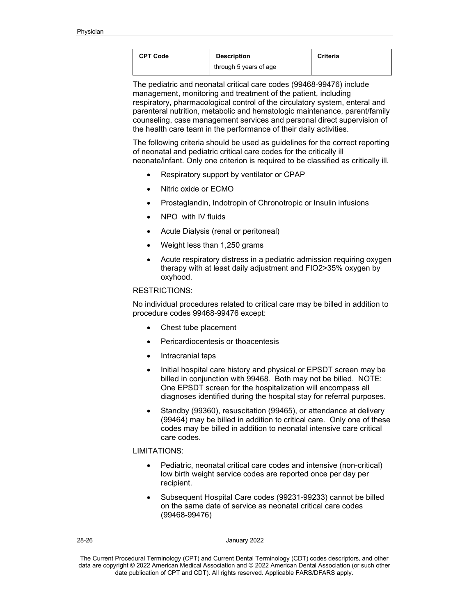| <b>CPT Code</b> | <b>Description</b>     | <b>Criteria</b> |
|-----------------|------------------------|-----------------|
|                 | through 5 years of age |                 |

The pediatric and neonatal critical care codes (99468-99476) include management, monitoring and treatment of the patient, including respiratory, pharmacological control of the circulatory system, enteral and parenteral nutrition, metabolic and hematologic maintenance, parent/family counseling, case management services and personal direct supervision of the health care team in the performance of their daily activities.

The following criteria should be used as guidelines for the correct reporting of neonatal and pediatric critical care codes for the critically ill neonate/infant. Only one criterion is required to be classified as critically ill.

- Respiratory support by ventilator or CPAP
- Nitric oxide or ECMO
- Prostaglandin, Indotropin of Chronotropic or Insulin infusions
- NPO with IV fluids
- Acute Dialysis (renal or peritoneal)
- Weight less than 1,250 grams
- Acute respiratory distress in a pediatric admission requiring oxygen therapy with at least daily adjustment and FIO2>35% oxygen by oxyhood.

# RESTRICTIONS:

No individual procedures related to critical care may be billed in addition to procedure codes 99468-99476 except:

- Chest tube placement
- Pericardiocentesis or thoacentesis
- Intracranial taps
- Initial hospital care history and physical or EPSDT screen may be billed in conjunction with 99468. Both may not be billed. NOTE: One EPSDT screen for the hospitalization will encompass all diagnoses identified during the hospital stay for referral purposes.
- Standby (99360), resuscitation (99465), or attendance at delivery (99464) may be billed in addition to critical care. Only one of these codes may be billed in addition to neonatal intensive care critical care codes.

## LIMITATIONS:

- Pediatric, neonatal critical care codes and intensive (non-critical) low birth weight service codes are reported once per day per recipient.
- Subsequent Hospital Care codes (99231-99233) cannot be billed on the same date of service as neonatal critical care codes (99468-99476)

#### 28-26 January 2022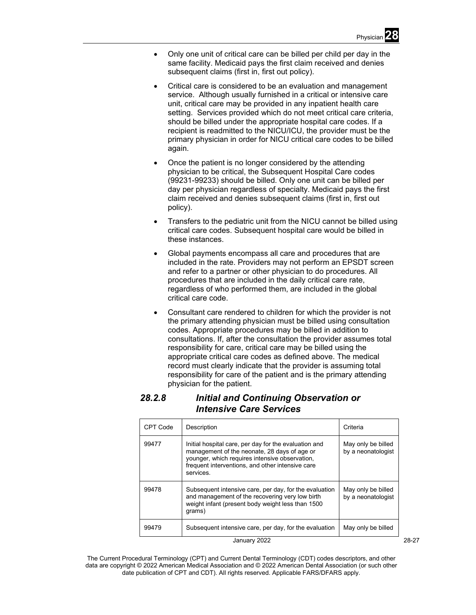- Only one unit of critical care can be billed per child per day in the same facility. Medicaid pays the first claim received and denies subsequent claims (first in, first out policy).
- Critical care is considered to be an evaluation and management service. Although usually furnished in a critical or intensive care unit, critical care may be provided in any inpatient health care setting. Services provided which do not meet critical care criteria, should be billed under the appropriate hospital care codes. If a recipient is readmitted to the NICU/ICU, the provider must be the primary physician in order for NICU critical care codes to be billed again.
- Once the patient is no longer considered by the attending physician to be critical, the Subsequent Hospital Care codes (99231-99233) should be billed. Only one unit can be billed per day per physician regardless of specialty. Medicaid pays the first claim received and denies subsequent claims (first in, first out policy).
- Transfers to the pediatric unit from the NICU cannot be billed using critical care codes. Subsequent hospital care would be billed in these instances.
- Global payments encompass all care and procedures that are included in the rate. Providers may not perform an EPSDT screen and refer to a partner or other physician to do procedures. All procedures that are included in the daily critical care rate, regardless of who performed them, are included in the global critical care code.
- Consultant care rendered to children for which the provider is not the primary attending physician must be billed using consultation codes. Appropriate procedures may be billed in addition to consultations. If, after the consultation the provider assumes total responsibility for care, critical care may be billed using the appropriate critical care codes as defined above. The medical record must clearly indicate that the provider is assuming total responsibility for care of the patient and is the primary attending physician for the patient.

# *28.2.8 Initial and Continuing Observation or Intensive Care Services*

| CPT Code | Description                                                                                                                                                                                                              | Criteria                                 |
|----------|--------------------------------------------------------------------------------------------------------------------------------------------------------------------------------------------------------------------------|------------------------------------------|
| 99477    | Initial hospital care, per day for the evaluation and<br>management of the neonate, 28 days of age or<br>younger, which requires intensive observation,<br>frequent interventions, and other intensive care<br>services. | May only be billed<br>by a neonatologist |
| 99478    | Subsequent intensive care, per day, for the evaluation<br>and management of the recovering very low birth<br>weight infant (present body weight less than 1500<br>qrams)                                                 | May only be billed<br>by a neonatologist |
| 99479    | Subsequent intensive care, per day, for the evaluation                                                                                                                                                                   | May only be billed                       |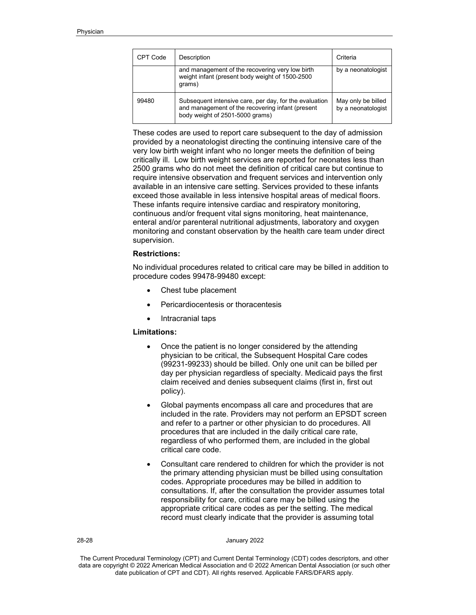| CPT Code | Description                                                                                                                                   | Criteria                                 |
|----------|-----------------------------------------------------------------------------------------------------------------------------------------------|------------------------------------------|
|          | and management of the recovering very low birth<br>weight infant (present body weight of 1500-2500<br>qrams)                                  | by a neonatologist                       |
| 99480    | Subsequent intensive care, per day, for the evaluation<br>and management of the recovering infant (present<br>body weight of 2501-5000 grams) | May only be billed<br>by a neonatologist |

These codes are used to report care subsequent to the day of admission provided by a neonatologist directing the continuing intensive care of the very low birth weight infant who no longer meets the definition of being critically ill. Low birth weight services are reported for neonates less than 2500 grams who do not meet the definition of critical care but continue to require intensive observation and frequent services and intervention only available in an intensive care setting. Services provided to these infants exceed those available in less intensive hospital areas of medical floors. These infants require intensive cardiac and respiratory monitoring, continuous and/or frequent vital signs monitoring, heat maintenance, enteral and/or parenteral nutritional adjustments, laboratory and oxygen monitoring and constant observation by the health care team under direct supervision.

# **Restrictions:**

No individual procedures related to critical care may be billed in addition to procedure codes 99478-99480 except:

- Chest tube placement
- Pericardiocentesis or thoracentesis
- Intracranial taps

## **Limitations:**

- Once the patient is no longer considered by the attending physician to be critical, the Subsequent Hospital Care codes (99231-99233) should be billed. Only one unit can be billed per day per physician regardless of specialty. Medicaid pays the first claim received and denies subsequent claims (first in, first out policy).
- Global payments encompass all care and procedures that are included in the rate. Providers may not perform an EPSDT screen and refer to a partner or other physician to do procedures. All procedures that are included in the daily critical care rate, regardless of who performed them, are included in the global critical care code.
- Consultant care rendered to children for which the provider is not the primary attending physician must be billed using consultation codes. Appropriate procedures may be billed in addition to consultations. If, after the consultation the provider assumes total responsibility for care, critical care may be billed using the appropriate critical care codes as per the setting. The medical record must clearly indicate that the provider is assuming total

#### 28-28 January 2022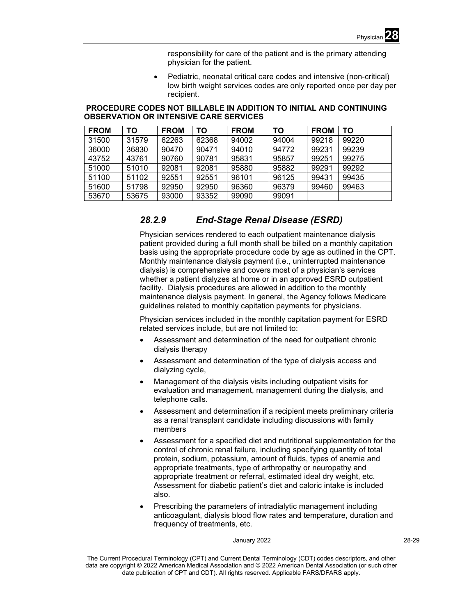responsibility for care of the patient and is the primary attending physician for the patient.

• Pediatric, neonatal critical care codes and intensive (non-critical) low birth weight services codes are only reported once per day per recipient.

# **PROCEDURE CODES NOT BILLABLE IN ADDITION TO INITIAL AND CONTINUING OBSERVATION OR INTENSIVE CARE SERVICES**

| <b>FROM</b> | TO    | <b>FROM</b> | TO    | <b>FROM</b> | ΤO    | <b>FROM</b> | TO    |
|-------------|-------|-------------|-------|-------------|-------|-------------|-------|
| 31500       | 31579 | 62263       | 62368 | 94002       | 94004 | 99218       | 99220 |
| 36000       | 36830 | 90470       | 90471 | 94010       | 94772 | 99231       | 99239 |
| 43752       | 43761 | 90760       | 90781 | 95831       | 95857 | 99251       | 99275 |
| 51000       | 51010 | 92081       | 92081 | 95880       | 95882 | 99291       | 99292 |
| 51100       | 51102 | 92551       | 92551 | 96101       | 96125 | 99431       | 99435 |
| 51600       | 51798 | 92950       | 92950 | 96360       | 96379 | 99460       | 99463 |
| 53670       | 53675 | 93000       | 93352 | 99090       | 99091 |             |       |

# *28.2.9 End-Stage Renal Disease (ESRD)*

Physician services rendered to each outpatient maintenance dialysis patient provided during a full month shall be billed on a monthly capitation basis using the appropriate procedure code by age as outlined in the CPT. Monthly maintenance dialysis payment (i.e., uninterrupted maintenance dialysis) is comprehensive and covers most of a physician's services whether a patient dialyzes at home or in an approved ESRD outpatient facility. Dialysis procedures are allowed in addition to the monthly maintenance dialysis payment. In general, the Agency follows Medicare guidelines related to monthly capitation payments for physicians.

Physician services included in the monthly capitation payment for ESRD related services include, but are not limited to:

- Assessment and determination of the need for outpatient chronic dialysis therapy
- Assessment and determination of the type of dialysis access and dialyzing cycle,
- Management of the dialysis visits including outpatient visits for evaluation and management, management during the dialysis, and telephone calls.
- Assessment and determination if a recipient meets preliminary criteria as a renal transplant candidate including discussions with family members
- Assessment for a specified diet and nutritional supplementation for the control of chronic renal failure, including specifying quantity of total protein, sodium, potassium, amount of fluids, types of anemia and appropriate treatments, type of arthropathy or neuropathy and appropriate treatment or referral, estimated ideal dry weight, etc. Assessment for diabetic patient's diet and caloric intake is included also.
- Prescribing the parameters of intradialytic management including anticoagulant, dialysis blood flow rates and temperature, duration and frequency of treatments, etc.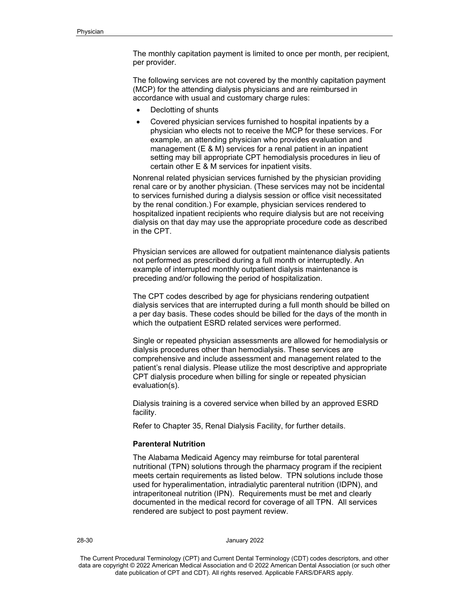The monthly capitation payment is limited to once per month, per recipient, per provider.

The following services are not covered by the monthly capitation payment (MCP) for the attending dialysis physicians and are reimbursed in accordance with usual and customary charge rules:

- Declotting of shunts
- Covered physician services furnished to hospital inpatients by a physician who elects not to receive the MCP for these services. For example, an attending physician who provides evaluation and management (E & M) services for a renal patient in an inpatient setting may bill appropriate CPT hemodialysis procedures in lieu of certain other E & M services for inpatient visits.

Nonrenal related physician services furnished by the physician providing renal care or by another physician. (These services may not be incidental to services furnished during a dialysis session or office visit necessitated by the renal condition.) For example, physician services rendered to hospitalized inpatient recipients who require dialysis but are not receiving dialysis on that day may use the appropriate procedure code as described in the CPT.

Physician services are allowed for outpatient maintenance dialysis patients not performed as prescribed during a full month or interruptedly. An example of interrupted monthly outpatient dialysis maintenance is preceding and/or following the period of hospitalization.

The CPT codes described by age for physicians rendering outpatient dialysis services that are interrupted during a full month should be billed on a per day basis. These codes should be billed for the days of the month in which the outpatient ESRD related services were performed.

Single or repeated physician assessments are allowed for hemodialysis or dialysis procedures other than hemodialysis. These services are comprehensive and include assessment and management related to the patient's renal dialysis. Please utilize the most descriptive and appropriate CPT dialysis procedure when billing for single or repeated physician evaluation(s).

Dialysis training is a covered service when billed by an approved ESRD facility.

Refer to Chapter 35, Renal Dialysis Facility, for further details.

## **Parenteral Nutrition**

The Alabama Medicaid Agency may reimburse for total parenteral nutritional (TPN) solutions through the pharmacy program if the recipient meets certain requirements as listed below. TPN solutions include those used for hyperalimentation, intradialytic parenteral nutrition (IDPN), and intraperitoneal nutrition (IPN). Requirements must be met and clearly documented in the medical record for coverage of all TPN. All services rendered are subject to post payment review.

28-30 January 2022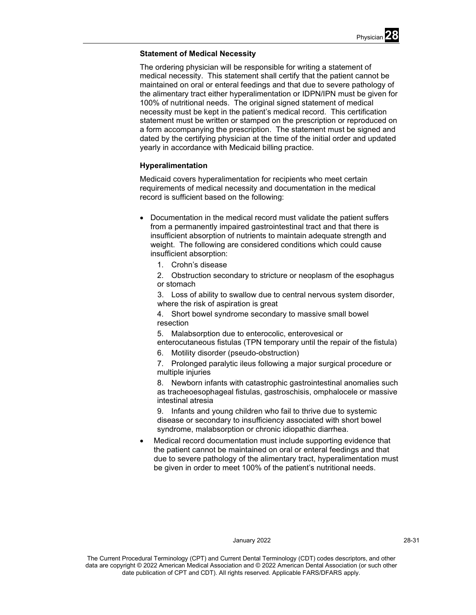# **Statement of Medical Necessity**

The ordering physician will be responsible for writing a statement of medical necessity. This statement shall certify that the patient cannot be maintained on oral or enteral feedings and that due to severe pathology of the alimentary tract either hyperalimentation or IDPN/IPN must be given for 100% of nutritional needs. The original signed statement of medical necessity must be kept in the patient's medical record. This certification statement must be written or stamped on the prescription or reproduced on a form accompanying the prescription. The statement must be signed and dated by the certifying physician at the time of the initial order and updated yearly in accordance with Medicaid billing practice.

# **Hyperalimentation**

Medicaid covers hyperalimentation for recipients who meet certain requirements of medical necessity and documentation in the medical record is sufficient based on the following:

- Documentation in the medical record must validate the patient suffers from a permanently impaired gastrointestinal tract and that there is insufficient absorption of nutrients to maintain adequate strength and weight. The following are considered conditions which could cause insufficient absorption:
	- 1. Crohn's disease
	- 2. Obstruction secondary to stricture or neoplasm of the esophagus or stomach

3. Loss of ability to swallow due to central nervous system disorder, where the risk of aspiration is great

4. Short bowel syndrome secondary to massive small bowel resection

5. Malabsorption due to enterocolic, enterovesical or

enterocutaneous fistulas (TPN temporary until the repair of the fistula)

6. Motility disorder (pseudo-obstruction)

7. Prolonged paralytic ileus following a major surgical procedure or multiple injuries

8. Newborn infants with catastrophic gastrointestinal anomalies such as tracheoesophageal fistulas, gastroschisis, omphalocele or massive intestinal atresia

9. Infants and young children who fail to thrive due to systemic disease or secondary to insufficiency associated with short bowel syndrome, malabsorption or chronic idiopathic diarrhea.

Medical record documentation must include supporting evidence that the patient cannot be maintained on oral or enteral feedings and that due to severe pathology of the alimentary tract, hyperalimentation must be given in order to meet 100% of the patient's nutritional needs.

## January 2022 28-31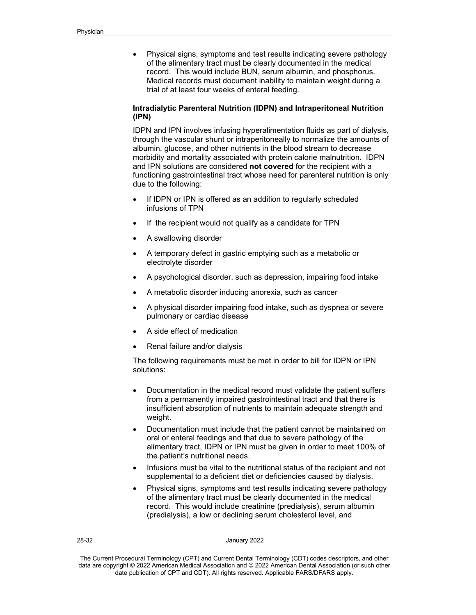• Physical signs, symptoms and test results indicating severe pathology of the alimentary tract must be clearly documented in the medical record. This would include BUN, serum albumin, and phosphorus. Medical records must document inability to maintain weight during a trial of at least four weeks of enteral feeding.

# **Intradialytic Parenteral Nutrition (IDPN) and Intraperitoneal Nutrition (IPN)**

IDPN and IPN involves infusing hyperalimentation fluids as part of dialysis, through the vascular shunt or intraperitoneally to normalize the amounts of albumin, glucose, and other nutrients in the blood stream to decrease morbidity and mortality associated with protein calorie malnutrition. IDPN and IPN solutions are considered **not covered** for the recipient with a functioning gastrointestinal tract whose need for parenteral nutrition is only due to the following:

- If IDPN or IPN is offered as an addition to regularly scheduled infusions of TPN
- If the recipient would not qualify as a candidate for TPN
- A swallowing disorder
- A temporary defect in gastric emptying such as a metabolic or electrolyte disorder
- A psychological disorder, such as depression, impairing food intake
- A metabolic disorder inducing anorexia, such as cancer
- A physical disorder impairing food intake, such as dyspnea or severe pulmonary or cardiac disease
- A side effect of medication
- Renal failure and/or dialysis

The following requirements must be met in order to bill for IDPN or IPN solutions:

- Documentation in the medical record must validate the patient suffers from a permanently impaired gastrointestinal tract and that there is insufficient absorption of nutrients to maintain adequate strength and weight.
- Documentation must include that the patient cannot be maintained on oral or enteral feedings and that due to severe pathology of the alimentary tract, IDPN or IPN must be given in order to meet 100% of the patient's nutritional needs.
- Infusions must be vital to the nutritional status of the recipient and not supplemental to a deficient diet or deficiencies caused by dialysis.
- Physical signs, symptoms and test results indicating severe pathology of the alimentary tract must be clearly documented in the medical record. This would include creatinine (predialysis), serum albumin (predialysis), a low or declining serum cholesterol level, and

28-32 January 2022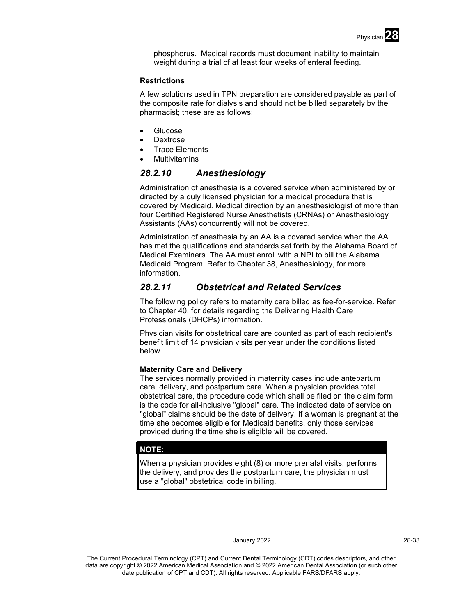

phosphorus. Medical records must document inability to maintain weight during a trial of at least four weeks of enteral feeding.

## **Restrictions**

A few solutions used in TPN preparation are considered payable as part of the composite rate for dialysis and should not be billed separately by the pharmacist; these are as follows:

- **Glucose**
- **Dextrose**
- Trace Elements
- **Multivitamins**

# *28.2.10 Anesthesiology*

Administration of anesthesia is a covered service when administered by or directed by a duly licensed physician for a medical procedure that is covered by Medicaid. Medical direction by an anesthesiologist of more than four Certified Registered Nurse Anesthetists (CRNAs) or Anesthesiology Assistants (AAs) concurrently will not be covered.

Administration of anesthesia by an AA is a covered service when the AA has met the qualifications and standards set forth by the Alabama Board of Medical Examiners. The AA must enroll with a NPI to bill the Alabama Medicaid Program. Refer to Chapter 38, Anesthesiology, for more information.

# *28.2.11 Obstetrical and Related Services*

The following policy refers to maternity care billed as fee-for-service. Refer to Chapter 40, for details regarding the Delivering Health Care Professionals (DHCPs) information.

Physician visits for obstetrical care are counted as part of each recipient's benefit limit of 14 physician visits per year under the conditions listed below.

# **Maternity Care and Delivery**

The services normally provided in maternity cases include antepartum care, delivery, and postpartum care. When a physician provides total obstetrical care, the procedure code which shall be filed on the claim form is the code for all-inclusive "global" care. The indicated date of service on "global" claims should be the date of delivery. If a woman is pregnant at the time she becomes eligible for Medicaid benefits, only those services provided during the time she is eligible will be covered.

# **NOTE:**

When a physician provides eight (8) or more prenatal visits, performs the delivery, and provides the postpartum care, the physician must use a "global" obstetrical code in billing.

#### January 2022 28-33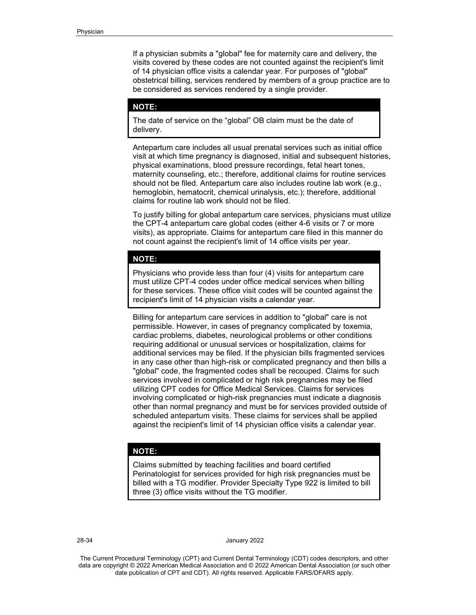If a physician submits a "global" fee for maternity care and delivery, the visits covered by these codes are not counted against the recipient's limit of 14 physician office visits a calendar year. For purposes of "global" obstetrical billing, services rendered by members of a group practice are to be considered as services rendered by a single provider.

## **NOTE:**

The date of service on the "global" OB claim must be the date of delivery.

Antepartum care includes all usual prenatal services such as initial office visit at which time pregnancy is diagnosed, initial and subsequent histories, physical examinations, blood pressure recordings, fetal heart tones, maternity counseling, etc.; therefore, additional claims for routine services should not be filed. Antepartum care also includes routine lab work (e.g., hemoglobin, hematocrit, chemical urinalysis, etc.); therefore, additional claims for routine lab work should not be filed.

To justify billing for global antepartum care services, physicians must utilize the CPT-4 antepartum care global codes (either 4-6 visits or 7 or more visits), as appropriate. Claims for antepartum care filed in this manner do not count against the recipient's limit of 14 office visits per year.

#### **NOTE:**

Physicians who provide less than four (4) visits for antepartum care must utilize CPT-4 codes under office medical services when billing for these services. These office visit codes will be counted against the recipient's limit of 14 physician visits a calendar year.

Billing for antepartum care services in addition to "global" care is not permissible. However, in cases of pregnancy complicated by toxemia, cardiac problems, diabetes, neurological problems or other conditions requiring additional or unusual services or hospitalization, claims for additional services may be filed. If the physician bills fragmented services in any case other than high-risk or complicated pregnancy and then bills a "global" code, the fragmented codes shall be recouped. Claims for such services involved in complicated or high risk pregnancies may be filed utilizing CPT codes for Office Medical Services. Claims for services involving complicated or high-risk pregnancies must indicate a diagnosis other than normal pregnancy and must be for services provided outside of scheduled antepartum visits. These claims for services shall be applied against the recipient's limit of 14 physician office visits a calendar year.

#### **NOTE:**

Claims submitted by teaching facilities and board certified Perinatologist for services provided for high risk pregnancies must be billed with a TG modifier. Provider Specialty Type 922 is limited to bill three (3) office visits without the TG modifier.

28-34 January 2022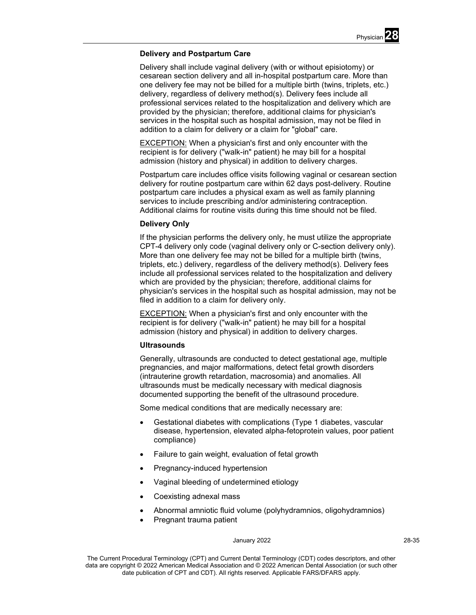# **Delivery and Postpartum Care**

Delivery shall include vaginal delivery (with or without episiotomy) or cesarean section delivery and all in-hospital postpartum care. More than one delivery fee may not be billed for a multiple birth (twins, triplets, etc.) delivery, regardless of delivery method(s). Delivery fees include all professional services related to the hospitalization and delivery which are provided by the physician; therefore, additional claims for physician's services in the hospital such as hospital admission, may not be filed in addition to a claim for delivery or a claim for "global" care.

EXCEPTION: When a physician's first and only encounter with the recipient is for delivery ("walk-in" patient) he may bill for a hospital admission (history and physical) in addition to delivery charges.

Postpartum care includes office visits following vaginal or cesarean section delivery for routine postpartum care within 62 days post-delivery. Routine postpartum care includes a physical exam as well as family planning services to include prescribing and/or administering contraception. Additional claims for routine visits during this time should not be filed.

# **Delivery Only**

If the physician performs the delivery only, he must utilize the appropriate CPT-4 delivery only code (vaginal delivery only or C-section delivery only). More than one delivery fee may not be billed for a multiple birth (twins, triplets, etc.) delivery, regardless of the delivery method(s). Delivery fees include all professional services related to the hospitalization and delivery which are provided by the physician; therefore, additional claims for physician's services in the hospital such as hospital admission, may not be filed in addition to a claim for delivery only.

EXCEPTION: When a physician's first and only encounter with the recipient is for delivery ("walk-in" patient) he may bill for a hospital admission (history and physical) in addition to delivery charges.

## **Ultrasounds**

Generally, ultrasounds are conducted to detect gestational age, multiple pregnancies, and major malformations, detect fetal growth disorders (intrauterine growth retardation, macrosomia) and anomalies. All ultrasounds must be medically necessary with medical diagnosis documented supporting the benefit of the ultrasound procedure.

Some medical conditions that are medically necessary are:

- Gestational diabetes with complications (Type 1 diabetes, vascular disease, hypertension, elevated alpha-fetoprotein values, poor patient compliance)
- Failure to gain weight, evaluation of fetal growth
- Pregnancy-induced hypertension
- Vaginal bleeding of undetermined etiology
- Coexisting adnexal mass
- Abnormal amniotic fluid volume (polyhydramnios, oligohydramnios)
- Pregnant trauma patient

#### January 2022 28-35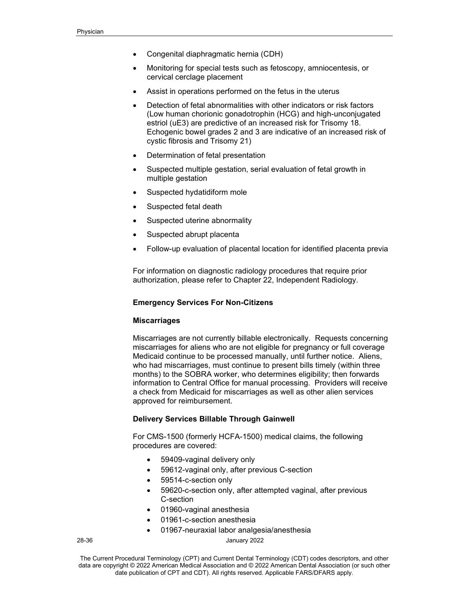- Congenital diaphragmatic hernia (CDH)
- Monitoring for special tests such as fetoscopy, amniocentesis, or cervical cerclage placement
- Assist in operations performed on the fetus in the uterus
- Detection of fetal abnormalities with other indicators or risk factors (Low human chorionic gonadotrophin (HCG) and high-unconjugated estriol (uE3) are predictive of an increased risk for Trisomy 18. Echogenic bowel grades 2 and 3 are indicative of an increased risk of cystic fibrosis and Trisomy 21)
- Determination of fetal presentation
- Suspected multiple gestation, serial evaluation of fetal growth in multiple gestation
- Suspected hydatidiform mole
- Suspected fetal death
- Suspected uterine abnormality
- Suspected abrupt placenta
- Follow-up evaluation of placental location for identified placenta previa

For information on diagnostic radiology procedures that require prior authorization, please refer to Chapter 22, Independent Radiology.

#### **Emergency Services For Non-Citizens**

#### **Miscarriages**

Miscarriages are not currently billable electronically. Requests concerning miscarriages for aliens who are not eligible for pregnancy or full coverage Medicaid continue to be processed manually, until further notice. Aliens, who had miscarriages, must continue to present bills timely (within three months) to the SOBRA worker, who determines eligibility; then forwards information to Central Office for manual processing. Providers will receive a check from Medicaid for miscarriages as well as other alien services approved for reimbursement.

## **Delivery Services Billable Through Gainwell**

For CMS-1500 (formerly HCFA-1500) medical claims, the following procedures are covered:

- 59409-vaginal delivery only
- 59612-vaginal only, after previous C-section
- 59514-c-section only
- 59620-c-section only, after attempted vaginal, after previous C-section
- 01960-vaginal anesthesia
- 01961-c-section anesthesia
- 01967-neuraxial labor analgesia/anesthesia

28-36 January 2022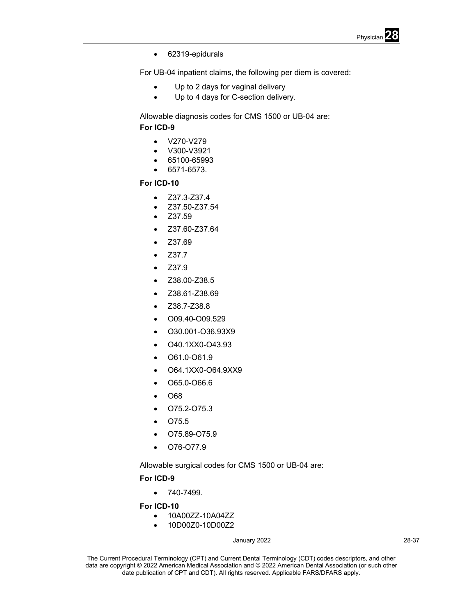

• 62319-epidurals

For UB-04 inpatient claims, the following per diem is covered:

- Up to 2 days for vaginal delivery
- Up to 4 days for C-section delivery.

Allowable diagnosis codes for CMS 1500 or UB-04 are: **For ICD-9** 

- V270-V279
- V300-V3921
- 65100-65993
- 6571-6573.

# **For ICD-10**

- Z37.3-Z37.4
- Z37.50-Z37.54
- Z37.59
- Z37.60-Z37.64
- Z37.69
- Z37.7
- Z37.9
- Z38.00-Z38.5
- Z38.61-Z38.69
- Z38.7-Z38.8
- O09.40-O09.529
- O30.001-O36.93X9
- O40.1XX0-O43.93
- O61.0-O61.9
- O64.1XX0-O64.9XX9
- O65.0-O66.6
- O68
- O75.2-O75.3
- O75.5
- O75.89-O75.9
- O76-O77.9

Allowable surgical codes for CMS 1500 or UB-04 are:

# **For ICD-9**

 $• 740 - 7499.$ 

**For ICD-10** 

- 10A00ZZ-10A04ZZ
- 10D00Z0-10D00Z2

## January 2022 28-37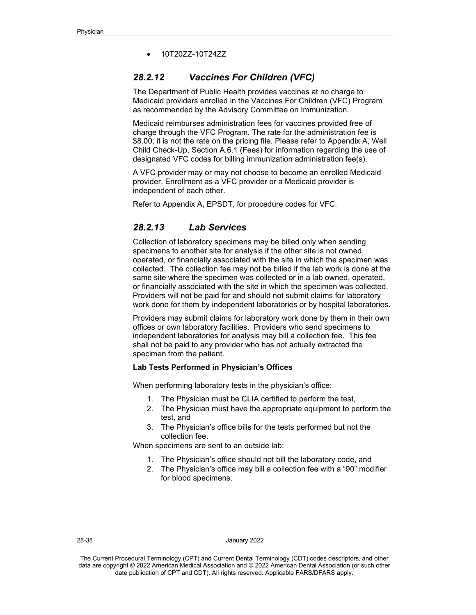• 10T20ZZ-10T24ZZ

# *28.2.12 Vaccines For Children (VFC)*

The Department of Public Health provides vaccines at no charge to Medicaid providers enrolled in the Vaccines For Children (VFC) Program as recommended by the Advisory Committee on Immunization.

Medicaid reimburses administration fees for vaccines provided free of charge through the VFC Program. The rate for the administration fee is \$8.00; it is not the rate on the pricing file. Please refer to Appendix A, Well Child Check-Up, Section A.6.1 (Fees) for information regarding the use of designated VFC codes for billing immunization administration fee(s).

A VFC provider may or may not choose to become an enrolled Medicaid provider. Enrollment as a VFC provider or a Medicaid provider is independent of each other.

Refer to Appendix A, EPSDT, for procedure codes for VFC.

# *28.2.13 Lab Services*

Collection of laboratory specimens may be billed only when sending specimens to another site for analysis if the other site is not owned, operated, or financially associated with the site in which the specimen was collected. The collection fee may not be billed if the lab work is done at the same site where the specimen was collected or in a lab owned, operated, or financially associated with the site in which the specimen was collected. Providers will not be paid for and should not submit claims for laboratory work done for them by independent laboratories or by hospital laboratories.

Providers may submit claims for laboratory work done by them in their own offices or own laboratory facilities. Providers who send specimens to independent laboratories for analysis may bill a collection fee. This fee shall not be paid to any provider who has not actually extracted the specimen from the patient.

# **Lab Tests Performed in Physician's Offices**

When performing laboratory tests in the physician's office:

- 1. The Physician must be CLIA certified to perform the test,
- 2. The Physician must have the appropriate equipment to perform the test, and
- 3. The Physician's office bills for the tests performed but not the collection fee.

When specimens are sent to an outside lab:

- 1. The Physician's office should not bill the laboratory code, and
- 2. The Physician's office may bill a collection fee with a "90" modifier for blood specimens.

#### 28-38 January 2022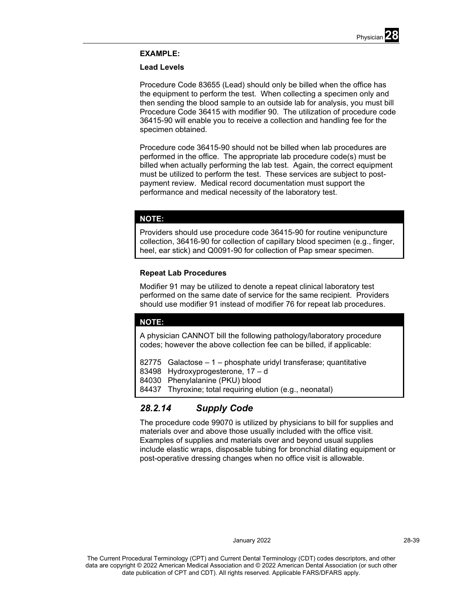

# **EXAMPLE:**

## **Lead Levels**

Procedure Code 83655 (Lead) should only be billed when the office has the equipment to perform the test. When collecting a specimen only and then sending the blood sample to an outside lab for analysis, you must bill Procedure Code 36415 with modifier 90. The utilization of procedure code 36415-90 will enable you to receive a collection and handling fee for the specimen obtained.

Procedure code 36415-90 should not be billed when lab procedures are performed in the office. The appropriate lab procedure code(s) must be billed when actually performing the lab test. Again, the correct equipment must be utilized to perform the test. These services are subject to postpayment review. Medical record documentation must support the performance and medical necessity of the laboratory test.

# **NOTE:**

Providers should use procedure code 36415-90 for routine venipuncture collection, 36416-90 for collection of capillary blood specimen (e.g., finger, heel, ear stick) and Q0091-90 for collection of Pap smear specimen.

## **Repeat Lab Procedures**

Modifier 91 may be utilized to denote a repeat clinical laboratory test performed on the same date of service for the same recipient. Providers should use modifier 91 instead of modifier 76 for repeat lab procedures.

# **NOTE:**

A physician CANNOT bill the following pathology/laboratory procedure codes; however the above collection fee can be billed, if applicable:

82775 Galactose – 1 – phosphate uridyl transferase; quantitative

83498 Hydroxyprogesterone, 17 – d

84030 Phenylalanine (PKU) blood

84437 Thyroxine; total requiring elution (e.g., neonatal)

# *28.2.14 Supply Code*

The procedure code 99070 is utilized by physicians to bill for supplies and materials over and above those usually included with the office visit. Examples of supplies and materials over and beyond usual supplies include elastic wraps, disposable tubing for bronchial dilating equipment or post-operative dressing changes when no office visit is allowable.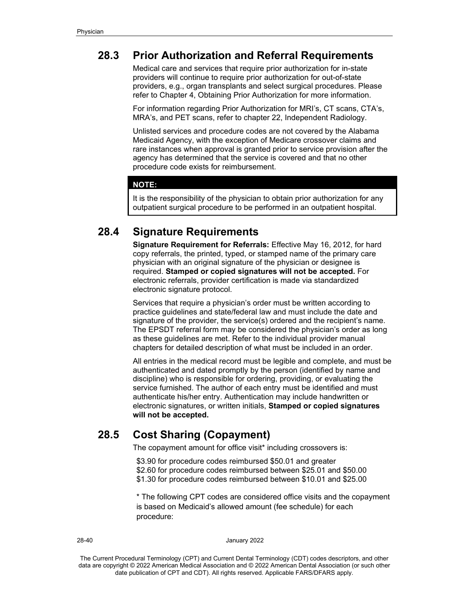# **28.3 Prior Authorization and Referral Requirements**

Medical care and services that require prior authorization for in-state providers will continue to require prior authorization for out-of-state providers, e.g., organ transplants and select surgical procedures. Please refer to Chapter 4, Obtaining Prior Authorization for more information.

For information regarding Prior Authorization for MRI's, CT scans, CTA's, MRA's, and PET scans, refer to chapter 22, Independent Radiology.

Unlisted services and procedure codes are not covered by the Alabama Medicaid Agency, with the exception of Medicare crossover claims and rare instances when approval is granted prior to service provision after the agency has determined that the service is covered and that no other procedure code exists for reimbursement.

# **NOTE:**

It is the responsibility of the physician to obtain prior authorization for any outpatient surgical procedure to be performed in an outpatient hospital.

# **28.4 Signature Requirements**

**Signature Requirement for Referrals:** Effective May 16, 2012, for hard copy referrals, the printed, typed, or stamped name of the primary care physician with an original signature of the physician or designee is required. **Stamped or copied signatures will not be accepted.** For electronic referrals, provider certification is made via standardized electronic signature protocol.

Services that require a physician's order must be written according to practice guidelines and state/federal law and must include the date and signature of the provider, the service(s) ordered and the recipient's name. The EPSDT referral form may be considered the physician's order as long as these guidelines are met. Refer to the individual provider manual chapters for detailed description of what must be included in an order.

All entries in the medical record must be legible and complete, and must be authenticated and dated promptly by the person (identified by name and discipline) who is responsible for ordering, providing, or evaluating the service furnished. The author of each entry must be identified and must authenticate his/her entry. Authentication may include handwritten or electronic signatures, or written initials, **Stamped or copied signatures will not be accepted.**

# **28.5 Cost Sharing (Copayment)**

The copayment amount for office visit\* including crossovers is:

\$3.90 for procedure codes reimbursed \$50.01 and greater \$2.60 for procedure codes reimbursed between \$25.01 and \$50.00 \$1.30 for procedure codes reimbursed between \$10.01 and \$25.00

\* The following CPT codes are considered office visits and the copayment is based on Medicaid's allowed amount (fee schedule) for each procedure:

#### 28-40 January 2022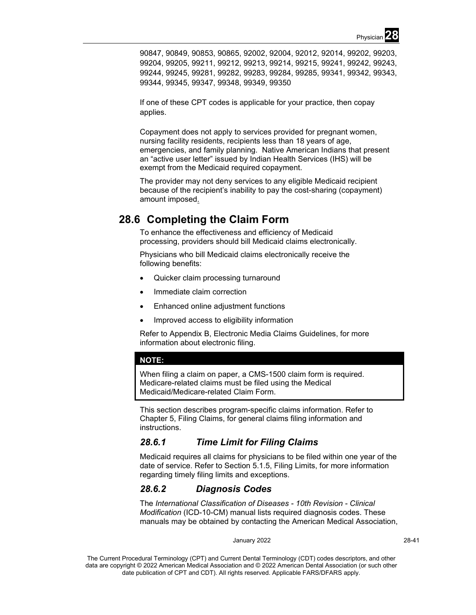90847, 90849, 90853, 90865, 92002, 92004, 92012, 92014, 99202, 99203, 99204, 99205, 99211, 99212, 99213, 99214, 99215, 99241, 99242, 99243, 99244, 99245, 99281, 99282, 99283, 99284, 99285, 99341, 99342, 99343, 99344, 99345, 99347, 99348, 99349, 99350

If one of these CPT codes is applicable for your practice, then copay applies.

Copayment does not apply to services provided for pregnant women, nursing facility residents, recipients less than 18 years of age, emergencies, and family planning. Native American Indians that present an "active user letter" issued by Indian Health Services (IHS) will be exempt from the Medicaid required copayment.

The provider may not deny services to any eligible Medicaid recipient because of the recipient's inability to pay the cost-sharing (copayment) amount imposed.

# **28.6 Completing the Claim Form**

To enhance the effectiveness and efficiency of Medicaid processing, providers should bill Medicaid claims electronically.

Physicians who bill Medicaid claims electronically receive the following benefits:

- Quicker claim processing turnaround
- Immediate claim correction
- Enhanced online adjustment functions
- Improved access to eligibility information

Refer to Appendix B, Electronic Media Claims Guidelines, for more information about electronic filing.

# **NOTE:**

When filing a claim on paper, a CMS-1500 claim form is required. Medicare-related claims must be filed using the Medical Medicaid/Medicare-related Claim Form.

This section describes program-specific claims information. Refer to Chapter 5, Filing Claims, for general claims filing information and instructions.

# *28.6.1 Time Limit for Filing Claims*

Medicaid requires all claims for physicians to be filed within one year of the date of service. Refer to Section 5.1.5, Filing Limits, for more information regarding timely filing limits and exceptions.

# *28.6.2 Diagnosis Codes*

The *International Classification of Diseases - 10th Revision - Clinical Modification* (ICD-10-CM) manual lists required diagnosis codes. These manuals may be obtained by contacting the American Medical Association,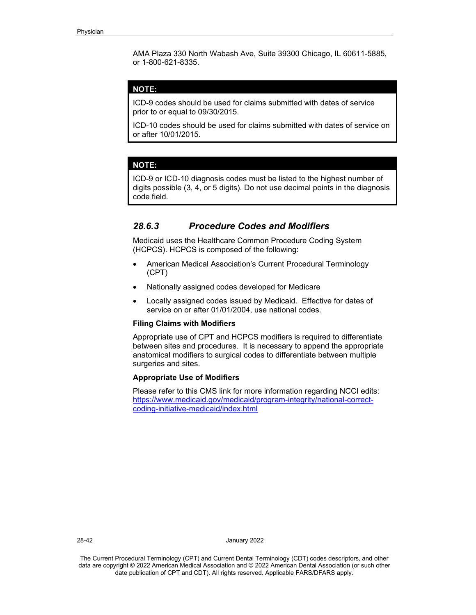AMA Plaza 330 North Wabash Ave, Suite 39300 Chicago, IL 60611-5885, or 1-800-621-8335.

# **NOTE:**

ICD-9 codes should be used for claims submitted with dates of service prior to or equal to 09/30/2015.

ICD-10 codes should be used for claims submitted with dates of service on or after 10/01/2015.

#### **NOTE:**

ICD-9 or ICD-10 diagnosis codes must be listed to the highest number of digits possible (3, 4, or 5 digits). Do not use decimal points in the diagnosis code field.

# *28.6.3 Procedure Codes and Modifiers*

Medicaid uses the Healthcare Common Procedure Coding System (HCPCS). HCPCS is composed of the following:

- American Medical Association's Current Procedural Terminology (CPT)
- Nationally assigned codes developed for Medicare
- Locally assigned codes issued by Medicaid. Effective for dates of service on or after 01/01/2004, use national codes.

# **Filing Claims with Modifiers**

Appropriate use of CPT and HCPCS modifiers is required to differentiate between sites and procedures. It is necessary to append the appropriate anatomical modifiers to surgical codes to differentiate between multiple surgeries and sites.

#### **Appropriate Use of Modifiers**

Please refer to this CMS link for more information regarding NCCI edits: [https://www.medicaid.gov/medicaid/program-integrity/national-correct](https://www.medicaid.gov/medicaid/program-integrity/national-correct-coding-initiative-medicaid/index.html)[coding-initiative-medicaid/index.html](https://www.medicaid.gov/medicaid/program-integrity/national-correct-coding-initiative-medicaid/index.html)

28-42 January 2022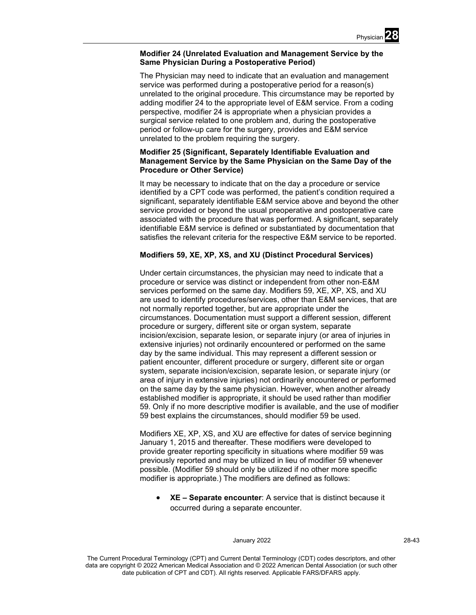# **Modifier 24 (Unrelated Evaluation and Management Service by the Same Physician During a Postoperative Period)**

The Physician may need to indicate that an evaluation and management service was performed during a postoperative period for a reason(s) unrelated to the original procedure. This circumstance may be reported by adding modifier 24 to the appropriate level of E&M service. From a coding perspective, modifier 24 is appropriate when a physician provides a surgical service related to one problem and, during the postoperative period or follow-up care for the surgery, provides and E&M service unrelated to the problem requiring the surgery.

# **Modifier 25 (Significant, Separately Identifiable Evaluation and Management Service by the Same Physician on the Same Day of the Procedure or Other Service)**

It may be necessary to indicate that on the day a procedure or service identified by a CPT code was performed, the patient's condition required a significant, separately identifiable E&M service above and beyond the other service provided or beyond the usual preoperative and postoperative care associated with the procedure that was performed. A significant, separately identifiable E&M service is defined or substantiated by documentation that satisfies the relevant criteria for the respective E&M service to be reported.

# **Modifiers 59, XE, XP, XS, and XU (Distinct Procedural Services)**

Under certain circumstances, the physician may need to indicate that a procedure or service was distinct or independent from other non-E&M services performed on the same day. Modifiers 59, XE, XP, XS, and XU are used to identify procedures/services, other than E&M services, that are not normally reported together, but are appropriate under the circumstances. Documentation must support a different session, different procedure or surgery, different site or organ system, separate incision/excision, separate lesion, or separate injury (or area of injuries in extensive injuries) not ordinarily encountered or performed on the same day by the same individual. This may represent a different session or patient encounter, different procedure or surgery, different site or organ system, separate incision/excision, separate lesion, or separate injury (or area of injury in extensive injuries) not ordinarily encountered or performed on the same day by the same physician. However, when another already established modifier is appropriate, it should be used rather than modifier 59. Only if no more descriptive modifier is available, and the use of modifier 59 best explains the circumstances, should modifier 59 be used.

Modifiers XE, XP, XS, and XU are effective for dates of service beginning January 1, 2015 and thereafter. These modifiers were developed to provide greater reporting specificity in situations where modifier 59 was previously reported and may be utilized in lieu of modifier 59 whenever possible. (Modifier 59 should only be utilized if no other more specific modifier is appropriate.) The modifiers are defined as follows:

• **XE – Separate encounter**: A service that is distinct because it occurred during a separate encounter.

#### January 2022 28-43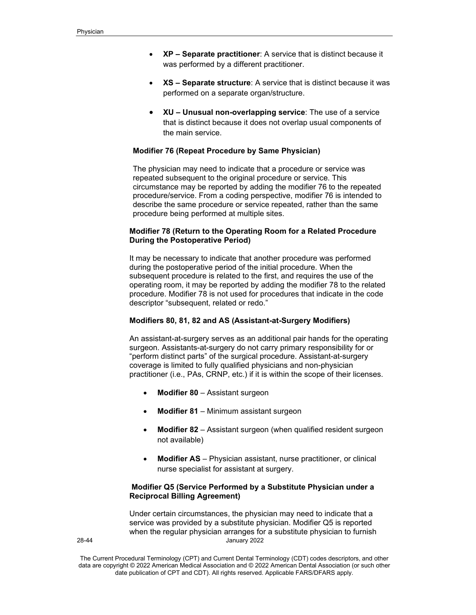- **XP – Separate practitioner**: A service that is distinct because it was performed by a different practitioner.
- **XS – Separate structure**: A service that is distinct because it was performed on a separate organ/structure.
- **XU – Unusual non-overlapping service**: The use of a service that is distinct because it does not overlap usual components of the main service.

# **Modifier 76 (Repeat Procedure by Same Physician)**

The physician may need to indicate that a procedure or service was repeated subsequent to the original procedure or service. This circumstance may be reported by adding the modifier 76 to the repeated procedure/service. From a coding perspective, modifier 76 is intended to describe the same procedure or service repeated, rather than the same procedure being performed at multiple sites.

# **Modifier 78 (Return to the Operating Room for a Related Procedure During the Postoperative Period)**

It may be necessary to indicate that another procedure was performed during the postoperative period of the initial procedure. When the subsequent procedure is related to the first, and requires the use of the operating room, it may be reported by adding the modifier 78 to the related procedure. Modifier 78 is not used for procedures that indicate in the code descriptor "subsequent, related or redo."

# **Modifiers 80, 81, 82 and AS (Assistant-at-Surgery Modifiers)**

An assistant-at-surgery serves as an additional pair hands for the operating surgeon. Assistants-at-surgery do not carry primary responsibility for or "perform distinct parts" of the surgical procedure. Assistant-at-surgery coverage is limited to fully qualified physicians and non-physician practitioner (i.e., PAs, CRNP, etc.) if it is within the scope of their licenses.

- **Modifier 80**  Assistant surgeon
- **Modifier 81**  Minimum assistant surgeon
- **Modifier 82** Assistant surgeon (when qualified resident surgeon not available)
- **Modifier AS** Physician assistant, nurse practitioner, or clinical nurse specialist for assistant at surgery.

# **Modifier Q5 (Service Performed by a Substitute Physician under a Reciprocal Billing Agreement)**

28-44 January 2022 Under certain circumstances, the physician may need to indicate that a service was provided by a substitute physician. Modifier Q5 is reported when the regular physician arranges for a substitute physician to furnish

The Current Procedural Terminology (CPT) and Current Dental Terminology (CDT) codes descriptors, and other data are copyright © 2022 American Medical Association and © 2022 American Dental Association (or such other date publication of CPT and CDT). All rights reserved. Applicable FARS/DFARS apply*.*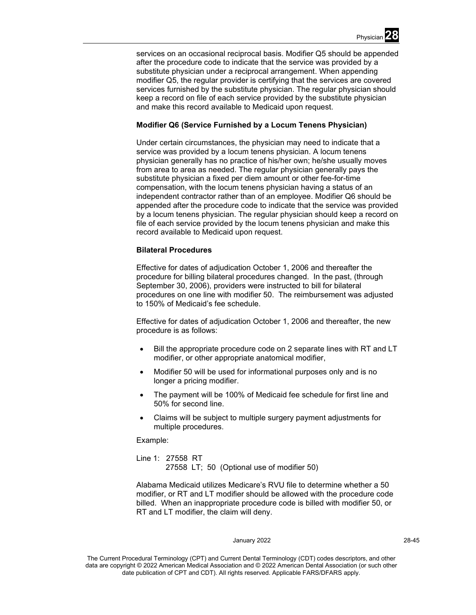services on an occasional reciprocal basis. Modifier Q5 should be appended after the procedure code to indicate that the service was provided by a substitute physician under a reciprocal arrangement. When appending modifier Q5, the regular provider is certifying that the services are covered services furnished by the substitute physician. The regular physician should keep a record on file of each service provided by the substitute physician and make this record available to Medicaid upon request.

# **Modifier Q6 (Service Furnished by a Locum Tenens Physician)**

Under certain circumstances, the physician may need to indicate that a service was provided by a locum tenens physician. A locum tenens physician generally has no practice of his/her own; he/she usually moves from area to area as needed. The regular physician generally pays the substitute physician a fixed per diem amount or other fee-for-time compensation, with the locum tenens physician having a status of an independent contractor rather than of an employee. Modifier Q6 should be appended after the procedure code to indicate that the service was provided by a locum tenens physician. The regular physician should keep a record on file of each service provided by the locum tenens physician and make this record available to Medicaid upon request.

# **Bilateral Procedures**

Effective for dates of adjudication October 1, 2006 and thereafter the procedure for billing bilateral procedures changed. In the past, (through September 30, 2006), providers were instructed to bill for bilateral procedures on one line with modifier 50. The reimbursement was adjusted to 150% of Medicaid's fee schedule.

Effective for dates of adjudication October 1, 2006 and thereafter, the new procedure is as follows:

- Bill the appropriate procedure code on 2 separate lines with RT and LT modifier, or other appropriate anatomical modifier,
- Modifier 50 will be used for informational purposes only and is no longer a pricing modifier.
- The payment will be 100% of Medicaid fee schedule for first line and 50% for second line.
- Claims will be subject to multiple surgery payment adjustments for multiple procedures.

Example:

Line 1: 27558 RT 27558 LT; 50 (Optional use of modifier 50)

Alabama Medicaid utilizes Medicare's RVU file to determine whether a 50 modifier, or RT and LT modifier should be allowed with the procedure code billed. When an inappropriate procedure code is billed with modifier 50, or RT and LT modifier, the claim will deny.

#### January 2022 28-45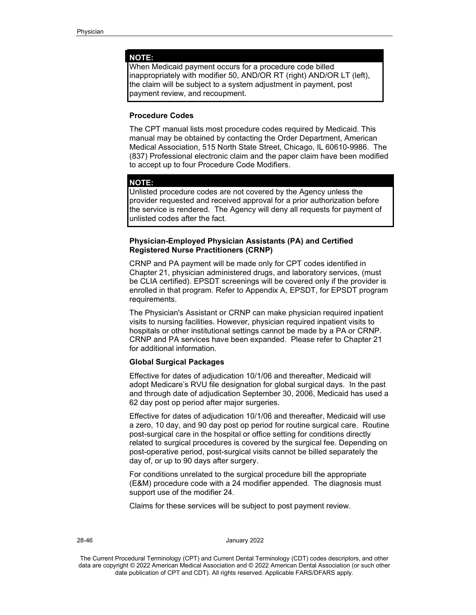#### **NOTE:**

When Medicaid payment occurs for a procedure code billed inappropriately with modifier 50, AND/OR RT (right) AND/OR LT (left), the claim will be subject to a system adjustment in payment, post payment review, and recoupment.

# **Procedure Codes**

The CPT manual lists most procedure codes required by Medicaid. This manual may be obtained by contacting the Order Department, American Medical Association, 515 North State Street, Chicago, IL 60610-9986. The (837) Professional electronic claim and the paper claim have been modified to accept up to four Procedure Code Modifiers.

#### **NOTE:**

Unlisted procedure codes are not covered by the Agency unless the provider requested and received approval for a prior authorization before the service is rendered. The Agency will deny all requests for payment of unlisted codes after the fact.

# **Physician-Employed Physician Assistants (PA) and Certified Registered Nurse Practitioners (CRNP)**

CRNP and PA payment will be made only for CPT codes identified in Chapter 21, physician administered drugs, and laboratory services, (must be CLIA certified). EPSDT screenings will be covered only if the provider is enrolled in that program. Refer to Appendix A, EPSDT, for EPSDT program requirements.

The Physician's Assistant or CRNP can make physician required inpatient visits to nursing facilities. However, physician required inpatient visits to hospitals or other institutional settings cannot be made by a PA or CRNP. CRNP and PA services have been expanded. Please refer to Chapter 21 for additional information.

## **Global Surgical Packages**

Effective for dates of adjudication 10/1/06 and thereafter, Medicaid will adopt Medicare's RVU file designation for global surgical days. In the past and through date of adjudication September 30, 2006, Medicaid has used a 62 day post op period after major surgeries.

Effective for dates of adjudication 10/1/06 and thereafter, Medicaid will use a zero, 10 day, and 90 day post op period for routine surgical care. Routine post-surgical care in the hospital or office setting for conditions directly related to surgical procedures is covered by the surgical fee. Depending on post-operative period, post-surgical visits cannot be billed separately the day of, or up to 90 days after surgery.

For conditions unrelated to the surgical procedure bill the appropriate (E&M) procedure code with a 24 modifier appended. The diagnosis must support use of the modifier 24.

Claims for these services will be subject to post payment review.

#### 28-46 January 2022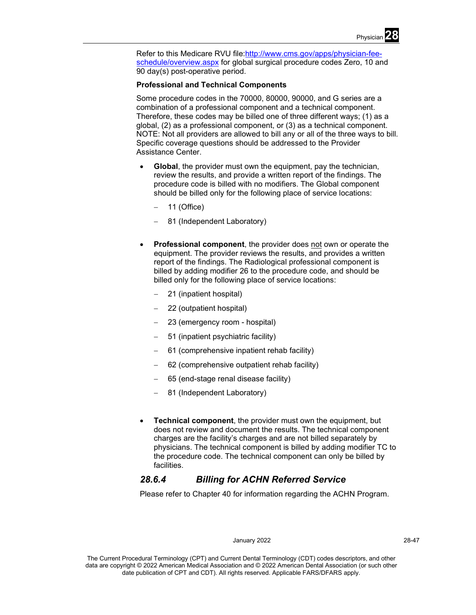

Refer to this Medicare RVU file[:http://www.cms.gov/apps/physician-fee](http://www.cms.gov/apps/physician-fee-schedule/overview.aspx)[schedule/overview.aspx](http://www.cms.gov/apps/physician-fee-schedule/overview.aspx) for global surgical procedure codes Zero, 10 and 90 day(s) post-operative period.

# **Professional and Technical Components**

Some procedure codes in the 70000, 80000, 90000, and G series are a combination of a professional component and a technical component. Therefore, these codes may be billed one of three different ways; (1) as a global, (2) as a professional component, or (3) as a technical component. NOTE: Not all providers are allowed to bill any or all of the three ways to bill. Specific coverage questions should be addressed to the Provider Assistance Center.

- **Global**, the provider must own the equipment, pay the technician, review the results, and provide a written report of the findings. The procedure code is billed with no modifiers. The Global component should be billed only for the following place of service locations:
	- − 11 (Office)
	- − 81 (Independent Laboratory)
- **Professional component**, the provider does not own or operate the equipment. The provider reviews the results, and provides a written report of the findings. The Radiological professional component is billed by adding modifier 26 to the procedure code, and should be billed only for the following place of service locations:
	- − 21 (inpatient hospital)
	- − 22 (outpatient hospital)
	- − 23 (emergency room hospital)
	- − 51 (inpatient psychiatric facility)
	- − 61 (comprehensive inpatient rehab facility)
	- − 62 (comprehensive outpatient rehab facility)
	- − 65 (end-stage renal disease facility)
	- − 81 (Independent Laboratory)
- **Technical component**, the provider must own the equipment, but does not review and document the results. The technical component charges are the facility's charges and are not billed separately by physicians. The technical component is billed by adding modifier TC to the procedure code. The technical component can only be billed by facilities.

# *28.6.4 Billing for ACHN Referred Service*

Please refer to Chapter 40 for information regarding the ACHN Program.

#### January 2022 28-47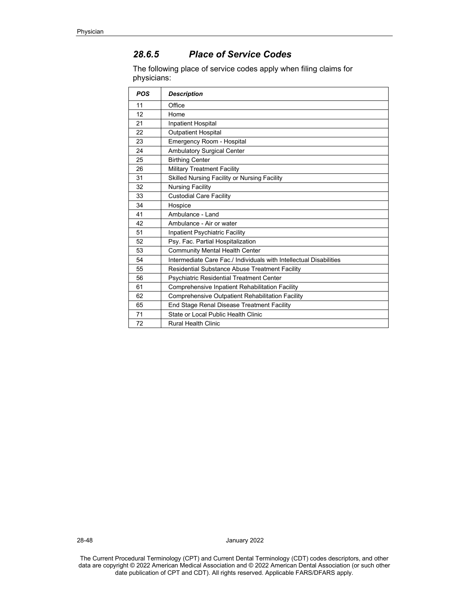# *28.6.5 Place of Service Codes*

The following place of service codes apply when filing claims for physicians:

| <b>POS</b> | <b>Description</b>                                                 |
|------------|--------------------------------------------------------------------|
| 11         | Office                                                             |
| 12         | Home                                                               |
| 21         | <b>Inpatient Hospital</b>                                          |
| 22         | <b>Outpatient Hospital</b>                                         |
| 23         | Emergency Room - Hospital                                          |
| 24         | Ambulatory Surgical Center                                         |
| 25         | <b>Birthing Center</b>                                             |
| 26         | <b>Military Treatment Facility</b>                                 |
| 31         | Skilled Nursing Facility or Nursing Facility                       |
| 32         | <b>Nursing Facility</b>                                            |
| 33         | <b>Custodial Care Facility</b>                                     |
| 34         | Hospice                                                            |
| 41         | Ambulance - Land                                                   |
| 42         | Ambulance - Air or water                                           |
| 51         | Inpatient Psychiatric Facility                                     |
| 52         | Psy. Fac. Partial Hospitalization                                  |
| 53         | <b>Community Mental Health Center</b>                              |
| 54         | Intermediate Care Fac./ Individuals with Intellectual Disabilities |
| 55         | Residential Substance Abuse Treatment Facility                     |
| 56         | <b>Psychiatric Residential Treatment Center</b>                    |
| 61         | Comprehensive Inpatient Rehabilitation Facility                    |
| 62         | Comprehensive Outpatient Rehabilitation Facility                   |
| 65         | End Stage Renal Disease Treatment Facility                         |
| 71         | State or Local Public Health Clinic                                |
| 72         | <b>Rural Health Clinic</b>                                         |

28-48 January 2022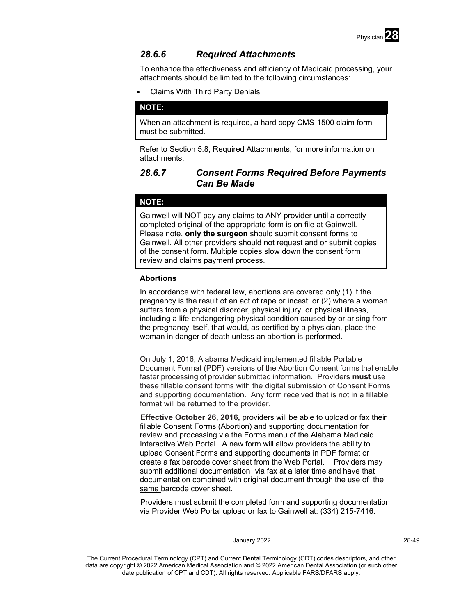

# *28.6.6 Required Attachments*

To enhance the effectiveness and efficiency of Medicaid processing, your attachments should be limited to the following circumstances:

• Claims With Third Party Denials

# **NOTE:**

When an attachment is required, a hard copy CMS-1500 claim form must be submitted.

Refer to Section 5.8, Required Attachments, for more information on attachments.

# *28.6.7 Consent Forms Required Before Payments Can Be Made*

# **NOTE:**

Gainwell will NOT pay any claims to ANY provider until a correctly completed original of the appropriate form is on file at Gainwell. Please note, **only the surgeon** should submit consent forms to Gainwell. All other providers should not request and or submit copies of the consent form. Multiple copies slow down the consent form review and claims payment process.

# **Abortions**

In accordance with federal law, abortions are covered only (1) if the pregnancy is the result of an act of rape or incest; or (2) where a woman suffers from a physical disorder, physical injury, or physical illness, including a life-endangering physical condition caused by or arising from the pregnancy itself, that would, as certified by a physician, place the woman in danger of death unless an abortion is performed.

On July 1, 2016, Alabama Medicaid implemented fillable Portable Document Format (PDF) versions of the Abortion Consent forms that enable faster processing of provider submitted information. Providers **must** use these fillable consent forms with the digital submission of Consent Forms and supporting documentation. Any form received that is not in a fillable format will be returned to the provider.

**Effective October 26, 2016,** providers will be able to upload or fax their fillable Consent Forms (Abortion) and supporting documentation for review and processing via the Forms menu of the Alabama Medicaid Interactive Web Portal. A new form will allow providers the ability to upload Consent Forms and supporting documents in PDF format or create a fax barcode cover sheet from the Web Portal. Providers may submit additional documentation via fax at a later time and have that documentation combined with original document through the use of the same barcode cover sheet.

Providers must submit the completed form and supporting documentation via Provider Web Portal upload or fax to Gainwell at: (334) 215-7416.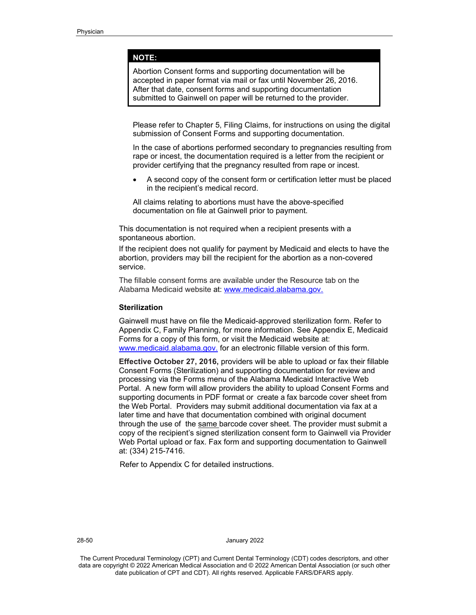# **NOTE:**

Abortion Consent forms and supporting documentation will be accepted in paper format via mail or fax until November 26, 2016. After that date, consent forms and supporting documentation submitted to Gainwell on paper will be returned to the provider.

Please refer to Chapter 5, Filing Claims, for instructions on using the digital submission of Consent Forms and supporting documentation.

In the case of abortions performed secondary to pregnancies resulting from rape or incest, the documentation required is a letter from the recipient or provider certifying that the pregnancy resulted from rape or incest.

• A second copy of the consent form or certification letter must be placed in the recipient's medical record.

All claims relating to abortions must have the above-specified documentation on file at Gainwell prior to payment.

This documentation is not required when a recipient presents with a spontaneous abortion.

If the recipient does not qualify for payment by Medicaid and elects to have the abortion, providers may bill the recipient for the abortion as a non-covered service.

The fillable consent forms are available under the Resource tab on the Alabama Medicaid website at: [www.medicaid.alabama.gov.](http://www.medicaid.alabama.gov/)

## **Sterilization**

Gainwell must have on file the Medicaid-approved sterilization form. Refer to Appendix C, Family Planning, for more information. See Appendix E, Medicaid Forms for a copy of this form, or visit the Medicaid website at: www.medicaid.alabama.gov. for an electronic fillable version of this form.

**Effective October 27, 2016,** providers will be able to upload or fax their fillable Consent Forms (Sterilization) and supporting documentation for review and processing via the Forms menu of the Alabama Medicaid Interactive Web Portal. A new form will allow providers the ability to upload Consent Forms and supporting documents in PDF format or create a fax barcode cover sheet from the Web Portal. Providers may submit additional documentation via fax at a later time and have that documentation combined with original document through the use of the same barcode cover sheet. The provider must submit a copy of the recipient's signed sterilization consent form to Gainwell via Provider Web Portal upload or fax. Fax form and supporting documentation to Gainwell at: (334) 215-7416.

Refer to Appendix C for detailed instructions.

28-50 January 2022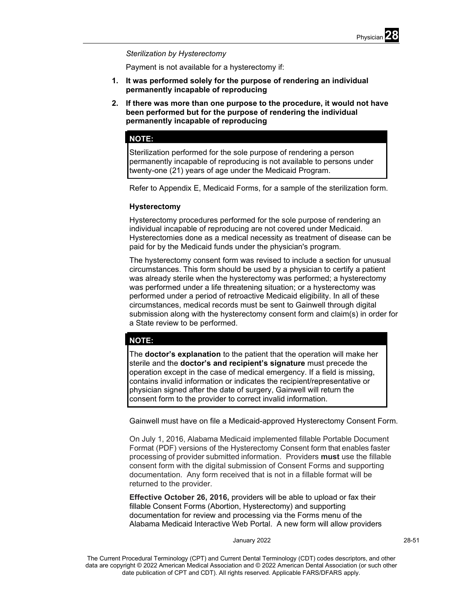

## *Sterilization by Hysterectomy*

Payment is not available for a hysterectomy if:

- **1. It was performed solely for the purpose of rendering an individual permanently incapable of reproducing**
- **2. If there was more than one purpose to the procedure, it would not have been performed but for the purpose of rendering the individual permanently incapable of reproducing**

# **NOTE:**

Sterilization performed for the sole purpose of rendering a person permanently incapable of reproducing is not available to persons under twenty-one (21) years of age under the Medicaid Program.

Refer to Appendix E, Medicaid Forms, for a sample of the sterilization form.

## **Hysterectomy**

Hysterectomy procedures performed for the sole purpose of rendering an individual incapable of reproducing are not covered under Medicaid. Hysterectomies done as a medical necessity as treatment of disease can be paid for by the Medicaid funds under the physician's program.

The hysterectomy consent form was revised to include a section for unusual circumstances. This form should be used by a physician to certify a patient was already sterile when the hysterectomy was performed; a hysterectomy was performed under a life threatening situation; or a hysterectomy was performed under a period of retroactive Medicaid eligibility. In all of these circumstances, medical records must be sent to Gainwell through digital submission along with the hysterectomy consent form and claim(s) in order for a State review to be performed.

# **NOTE:**

The **doctor's explanation** to the patient that the operation will make her sterile and the **doctor's and recipient's signature** must precede the operation except in the case of medical emergency. If a field is missing, contains invalid information or indicates the recipient/representative or physician signed after the date of surgery, Gainwell will return the consent form to the provider to correct invalid information.

Gainwell must have on file a Medicaid-approved Hysterectomy Consent Form.

On July 1, 2016, Alabama Medicaid implemented fillable Portable Document Format (PDF) versions of the Hysterectomy Consent form that enables faster processing of provider submitted information. Providers **must** use the fillable consent form with the digital submission of Consent Forms and supporting documentation. Any form received that is not in a fillable format will be returned to the provider.

**Effective October 26, 2016,** providers will be able to upload or fax their fillable Consent Forms (Abortion, Hysterectomy) and supporting documentation for review and processing via the Forms menu of the Alabama Medicaid Interactive Web Portal. A new form will allow providers

#### January 2022 28-51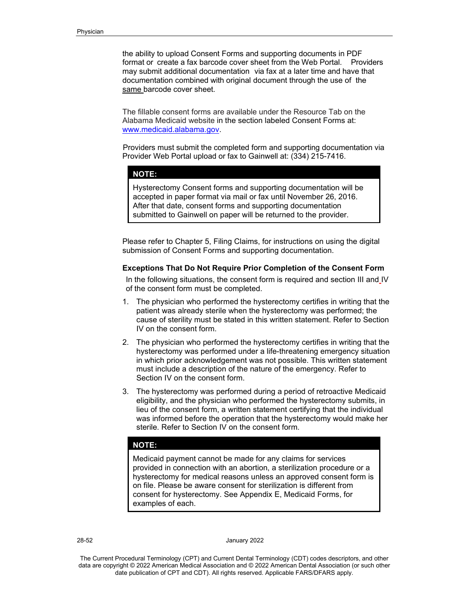the ability to upload Consent Forms and supporting documents in PDF format or create a fax barcode cover sheet from the Web Portal. Providers may submit additional documentation via fax at a later time and have that documentation combined with original document through the use of the same barcode cover sheet.

The fillable consent forms are available under the Resource Tab on the Alabama Medicaid website in the section labeled Consent Forms at: [www.medicaid.alabama.gov.](http://www.medicaid.alabama.gov/)

Providers must submit the completed form and supporting documentation via Provider Web Portal upload or fax to Gainwell at: (334) 215-7416.

## **NOTE:**

Hysterectomy Consent forms and supporting documentation will be accepted in paper format via mail or fax until November 26, 2016. After that date, consent forms and supporting documentation submitted to Gainwell on paper will be returned to the provider.

Please refer to Chapter 5, Filing Claims, for instructions on using the digital submission of Consent Forms and supporting documentation.

# **Exceptions That Do Not Require Prior Completion of the Consent Form**

In the following situations, the consent form is required and section III and IV of the consent form must be completed.

- 1. The physician who performed the hysterectomy certifies in writing that the patient was already sterile when the hysterectomy was performed; the cause of sterility must be stated in this written statement. Refer to Section IV on the consent form.
- 2. The physician who performed the hysterectomy certifies in writing that the hysterectomy was performed under a life-threatening emergency situation in which prior acknowledgement was not possible. This written statement must include a description of the nature of the emergency. Refer to Section IV on the consent form.
- 3. The hysterectomy was performed during a period of retroactive Medicaid eligibility, and the physician who performed the hysterectomy submits, in lieu of the consent form, a written statement certifying that the individual was informed before the operation that the hysterectomy would make her sterile. Refer to Section IV on the consent form.

# **NOTE:**

Medicaid payment cannot be made for any claims for services provided in connection with an abortion, a sterilization procedure or a hysterectomy for medical reasons unless an approved consent form is on file. Please be aware consent for sterilization is different from consent for hysterectomy. See Appendix E, Medicaid Forms, for examples of each.

28-52 January 2022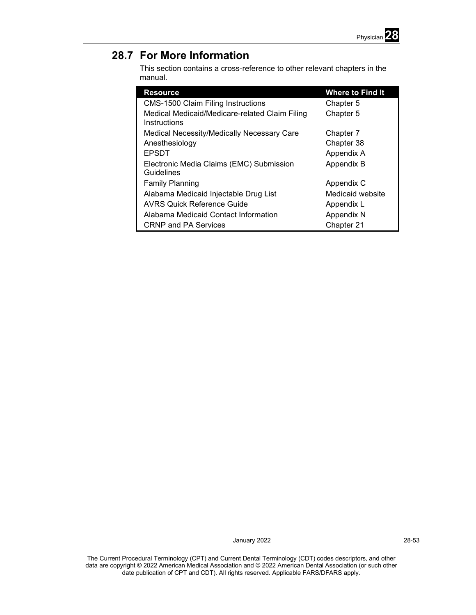

# **28.7 For More Information**

This section contains a cross-reference to other relevant chapters in the manual.

| <b>Resource</b>                                                | <b>Where to Find It</b> |
|----------------------------------------------------------------|-------------------------|
| <b>CMS-1500 Claim Filing Instructions</b>                      | Chapter 5               |
| Medical Medicaid/Medicare-related Claim Filing<br>Instructions | Chapter 5               |
| Medical Necessity/Medically Necessary Care                     | Chapter 7               |
| Anesthesiology                                                 | Chapter 38              |
| <b>EPSDT</b>                                                   | Appendix A              |
| Electronic Media Claims (EMC) Submission<br>Guidelines         | Appendix B              |
| <b>Family Planning</b>                                         | Appendix C              |
| Alabama Medicaid Injectable Drug List                          | Medicaid website        |
| <b>AVRS Quick Reference Guide</b>                              | Appendix L              |
| Alabama Medicaid Contact Information                           | Appendix N              |
| <b>CRNP and PA Services</b>                                    | Chapter 21              |

January 2022 28-53